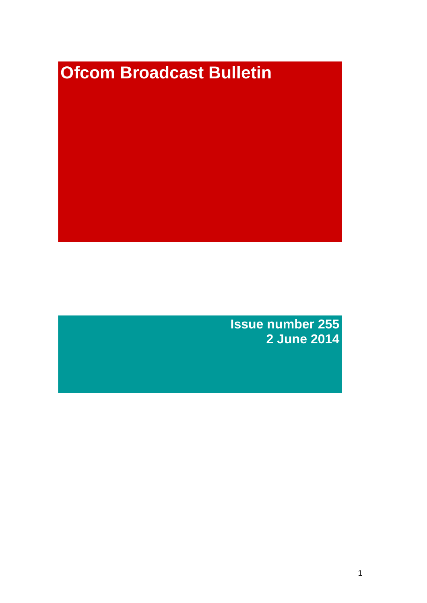# **Ofcom Broadcast Bulletin**

**Issue number 255 2 June 2014**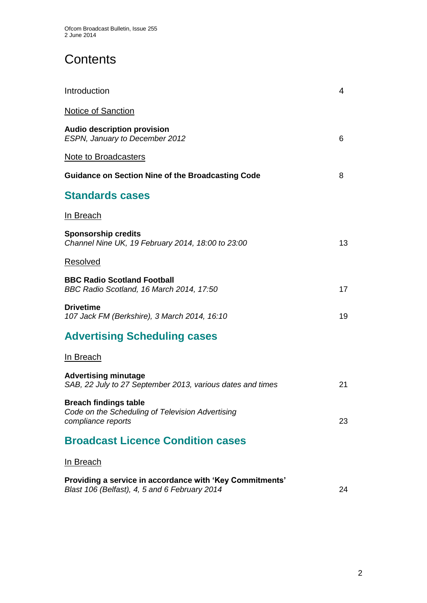# **Contents**

| Introduction                                                                                              | 4  |
|-----------------------------------------------------------------------------------------------------------|----|
| <b>Notice of Sanction</b>                                                                                 |    |
| <b>Audio description provision</b><br>ESPN, January to December 2012                                      | 6  |
| <b>Note to Broadcasters</b>                                                                               |    |
| <b>Guidance on Section Nine of the Broadcasting Code</b>                                                  | 8  |
| <b>Standards cases</b>                                                                                    |    |
| <u>In Breach</u>                                                                                          |    |
| <b>Sponsorship credits</b><br>Channel Nine UK, 19 February 2014, 18:00 to 23:00                           | 13 |
| Resolved                                                                                                  |    |
| <b>BBC Radio Scotland Football</b><br>BBC Radio Scotland, 16 March 2014, 17:50                            | 17 |
| <b>Drivetime</b><br>107 Jack FM (Berkshire), 3 March 2014, 16:10                                          | 19 |
| <b>Advertising Scheduling cases</b>                                                                       |    |
| <b>In Breach</b>                                                                                          |    |
| <b>Advertising minutage</b><br>SAB, 22 July to 27 September 2013, various dates and times                 | 21 |
| <b>Breach findings table</b><br>Code on the Scheduling of Television Advertising<br>compliance reports    | 23 |
| <b>Broadcast Licence Condition cases</b>                                                                  |    |
| <u>In Breach</u>                                                                                          |    |
| Providing a service in accordance with 'Key Commitments'<br>Blast 106 (Belfast), 4, 5 and 6 February 2014 | 24 |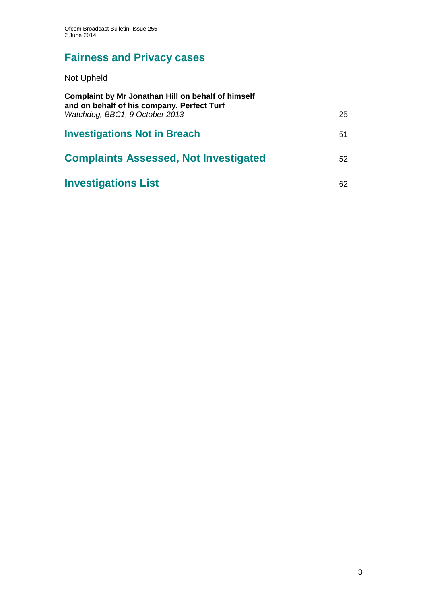# **Fairness and Privacy cases**

Not Upheld

| Complaint by Mr Jonathan Hill on behalf of himself<br>and on behalf of his company, Perfect Turf |    |
|--------------------------------------------------------------------------------------------------|----|
| Watchdog, BBC1, 9 October 2013                                                                   | 25 |
| <b>Investigations Not in Breach</b>                                                              | 51 |
| <b>Complaints Assessed, Not Investigated</b>                                                     | 52 |
| <b>Investigations List</b>                                                                       | 62 |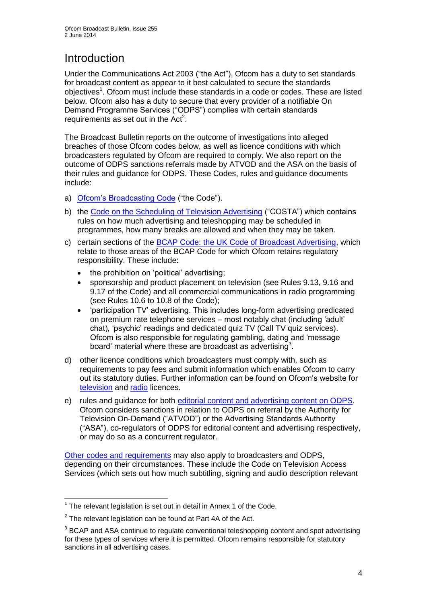# **Introduction**

Under the Communications Act 2003 ("the Act"), Ofcom has a duty to set standards for broadcast content as appear to it best calculated to secure the standards objectives<sup>1</sup>. Ofcom must include these standards in a code or codes. These are listed below. Ofcom also has a duty to secure that every provider of a notifiable On Demand Programme Services ("ODPS") complies with certain standards requirements as set out in the  $Act<sup>2</sup>$ .

The Broadcast Bulletin reports on the outcome of investigations into alleged breaches of those Ofcom codes below, as well as licence conditions with which broadcasters regulated by Ofcom are required to comply. We also report on the outcome of ODPS sanctions referrals made by ATVOD and the ASA on the basis of their rules and guidance for ODPS. These Codes, rules and guidance documents include:

- a) [Ofcom's Broadcasting Code](http://stakeholders.ofcom.org.uk/broadcasting/broadcast-codes/broadcast-code/) ("the Code").
- b) the [Code on the Scheduling of Television Advertising](http://stakeholders.ofcom.org.uk/broadcasting/broadcast-codes/advert-code/) ("COSTA") which contains rules on how much advertising and teleshopping may be scheduled in programmes, how many breaks are allowed and when they may be taken.
- c) certain sections of the [BCAP Code: the UK Code of Broadcast Advertising,](http://www.bcap.org.uk/Advertising-Codes/Broadcast-HTML.aspx) which relate to those areas of the BCAP Code for which Ofcom retains regulatory responsibility. These include:
	- the prohibition on 'political' advertising:
	- sponsorship and product placement on television (see Rules 9.13, 9.16 and 9.17 of the Code) and all commercial communications in radio programming (see Rules 10.6 to 10.8 of the Code);
	- 'participation TV' advertising. This includes long-form advertising predicated on premium rate telephone services – most notably chat (including 'adult' chat), 'psychic' readings and dedicated quiz TV (Call TV quiz services). Ofcom is also responsible for regulating gambling, dating and 'message board' material where these are broadcast as advertising<sup>3</sup>.
- d) other licence conditions which broadcasters must comply with, such as requirements to pay fees and submit information which enables Ofcom to carry out its statutory duties. Further information can be found on Ofcom's website for [television](http://licensing.ofcom.org.uk/tv-broadcast-licences/) and [radio](http://licensing.ofcom.org.uk/radio-broadcast-licensing/) licences.
- e) rules and guidance for both [editorial content and advertising content on ODPS.](http://www.atvod.co.uk/uploads/files/ATVOD_Rules_and_Guidance_Ed_2.0_May_2012.pdf) Ofcom considers sanctions in relation to ODPS on referral by the Authority for Television On-Demand ("ATVOD") or the Advertising Standards Authority ("ASA"), co-regulators of ODPS for editorial content and advertising respectively, or may do so as a concurrent regulator.

[Other codes and requirements](http://stakeholders.ofcom.org.uk/broadcasting/broadcast-codes/) may also apply to broadcasters and ODPS, depending on their circumstances. These include the Code on Television Access Services (which sets out how much subtitling, signing and audio description relevant

<sup>1</sup>  $1$  The relevant legislation is set out in detail in Annex 1 of the Code.

 $2$  The relevant legislation can be found at Part 4A of the Act.

 $3$  BCAP and ASA continue to regulate conventional teleshopping content and spot advertising for these types of services where it is permitted. Ofcom remains responsible for statutory sanctions in all advertising cases.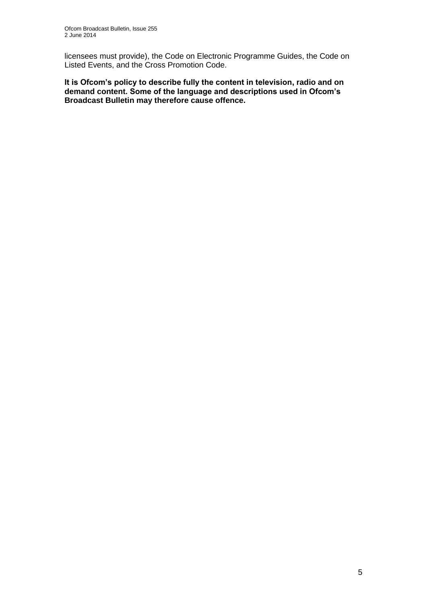licensees must provide), the Code on Electronic Programme Guides, the Code on Listed Events, and the Cross Promotion Code.

**It is Ofcom's policy to describe fully the content in television, radio and on demand content. Some of the language and descriptions used in Ofcom's Broadcast Bulletin may therefore cause offence.**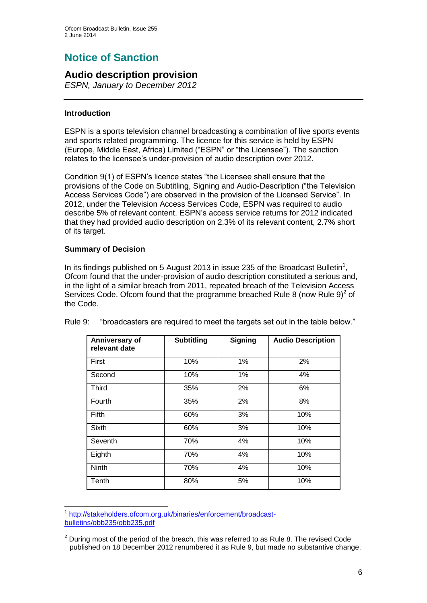# **Notice of Sanction**

## **Audio description provision**

*ESPN, January to December 2012*

## **Introduction**

ESPN is a sports television channel broadcasting a combination of live sports events and sports related programming. The licence for this service is held by ESPN (Europe, Middle East, Africa) Limited ("ESPN" or "the Licensee"). The sanction relates to the licensee's under-provision of audio description over 2012.

Condition 9(1) of ESPN's licence states "the Licensee shall ensure that the provisions of the Code on Subtitling, Signing and Audio-Description ("the Television Access Services Code") are observed in the provision of the Licensed Service". In 2012, under the Television Access Services Code, ESPN was required to audio describe 5% of relevant content. ESPN's access service returns for 2012 indicated that they had provided audio description on 2.3% of its relevant content, 2.7% short of its target.

## **Summary of Decision**

In its findings published on 5 August 2013 in issue 235 of the Broadcast Bulletin<sup>1</sup>, Ofcom found that the under-provision of audio description constituted a serious and, in the light of a similar breach from 2011, repeated breach of the Television Access Services Code. Ofcom found that the programme breached Rule 8 (now Rule  $9)^2$  of the Code.

| Anniversary of<br>relevant date | <b>Subtitling</b> | <b>Signing</b> | <b>Audio Description</b> |
|---------------------------------|-------------------|----------------|--------------------------|
| First                           | 10%               | 1%             | 2%                       |
| Second                          | 10%               | 1%             | 4%                       |
| <b>Third</b>                    | 35%               | 2%             | 6%                       |
| Fourth                          | 35%               | 2%             | 8%                       |
| Fifth                           | 60%               | 3%             | 10%                      |
| <b>Sixth</b>                    | 60%               | 3%             | 10%                      |
| Seventh                         | 70%               | 4%             | 10%                      |
| Eighth                          | 70%               | 4%             | 10%                      |
| Ninth                           | 70%               | 4%             | 10%                      |
| Tenth                           | 80%               | 5%             | 10%                      |

Rule 9: "broadcasters are required to meet the targets set out in the table below."

<sup>1</sup> 1 [http://stakeholders.ofcom.org.uk/binaries/enforcement/broadcast](http://stakeholders.ofcom.org.uk/binaries/enforcement/broadcast-bulletins/obb235/obb235.pdf)[bulletins/obb235/obb235.pdf](http://stakeholders.ofcom.org.uk/binaries/enforcement/broadcast-bulletins/obb235/obb235.pdf)

 $2$  During most of the period of the breach, this was referred to as Rule 8. The revised Code published on 18 December 2012 renumbered it as Rule 9, but made no substantive change.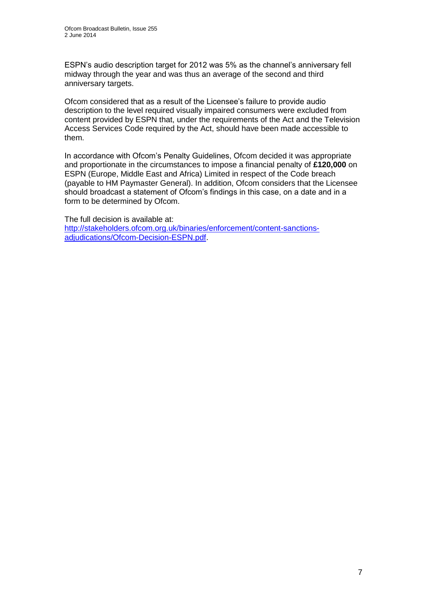ESPN's audio description target for 2012 was 5% as the channel's anniversary fell midway through the year and was thus an average of the second and third anniversary targets.

Ofcom considered that as a result of the Licensee's failure to provide audio description to the level required visually impaired consumers were excluded from content provided by ESPN that, under the requirements of the Act and the Television Access Services Code required by the Act, should have been made accessible to them.

In accordance with Ofcom's Penalty Guidelines, Ofcom decided it was appropriate and proportionate in the circumstances to impose a financial penalty of **£120,000** on ESPN (Europe, Middle East and Africa) Limited in respect of the Code breach (payable to HM Paymaster General). In addition, Ofcom considers that the Licensee should broadcast a statement of Ofcom's findings in this case, on a date and in a form to be determined by Ofcom.

The full decision is available at: [http://stakeholders.ofcom.org.uk/binaries/enforcement/content-sanctions](http://stakeholders.ofcom.org.uk/binaries/enforcement/content-sanctions-adjudications/Ofcom-Decision-ESPN.pdf)[adjudications/Ofcom-Decision-ESPN.pdf.](http://stakeholders.ofcom.org.uk/binaries/enforcement/content-sanctions-adjudications/Ofcom-Decision-ESPN.pdf)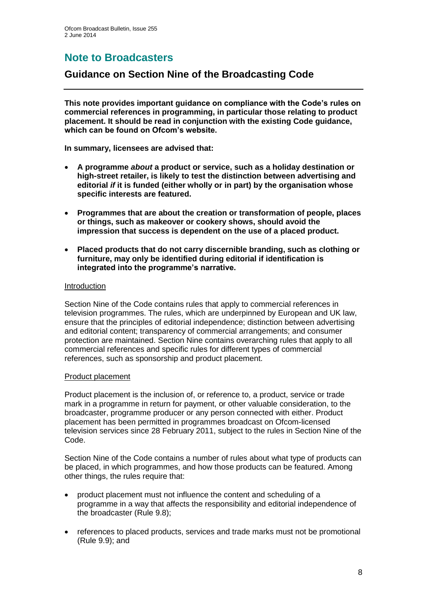# **Note to Broadcasters**

## **Guidance on Section Nine of the Broadcasting Code**

**This note provides important guidance on compliance with the Code's rules on commercial references in programming, in particular those relating to product placement. It should be read in conjunction with the existing Code guidance, which can be found on Ofcom's website.**

**In summary, licensees are advised that:** 

- **A programme** *about* **a product or service, such as a holiday destination or high-street retailer, is likely to test the distinction between advertising and editorial** *if* **it is funded (either wholly or in part) by the organisation whose specific interests are featured.**
- **Programmes that are about the creation or transformation of people, places or things, such as makeover or cookery shows, should avoid the impression that success is dependent on the use of a placed product.**
- **Placed products that do not carry discernible branding, such as clothing or furniture, may only be identified during editorial if identification is integrated into the programme's narrative.**

## Introduction

Section Nine of the Code contains rules that apply to commercial references in television programmes. The rules, which are underpinned by European and UK law, ensure that the principles of editorial independence; distinction between advertising and editorial content; transparency of commercial arrangements; and consumer protection are maintained. Section Nine contains overarching rules that apply to all commercial references and specific rules for different types of commercial references, such as sponsorship and product placement.

## Product placement

Product placement is the inclusion of, or reference to, a product, service or trade mark in a programme in return for payment, or other valuable consideration, to the broadcaster, programme producer or any person connected with either. Product placement has been permitted in programmes broadcast on Ofcom-licensed television services since 28 February 2011, subject to the rules in Section Nine of the Code.

Section Nine of the Code contains a number of rules about what type of products can be placed, in which programmes, and how those products can be featured. Among other things, the rules require that:

- product placement must not influence the content and scheduling of a programme in a way that affects the responsibility and editorial independence of the broadcaster (Rule 9.8);
- references to placed products, services and trade marks must not be promotional (Rule 9.9); and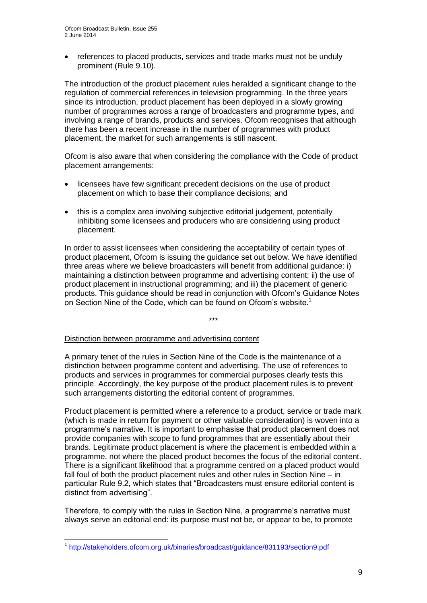references to placed products, services and trade marks must not be unduly prominent (Rule 9.10).

The introduction of the product placement rules heralded a significant change to the regulation of commercial references in television programming. In the three years since its introduction, product placement has been deployed in a slowly growing number of programmes across a range of broadcasters and programme types, and involving a range of brands, products and services. Ofcom recognises that although there has been a recent increase in the number of programmes with product placement, the market for such arrangements is still nascent.

Ofcom is also aware that when considering the compliance with the Code of product placement arrangements:

- licensees have few significant precedent decisions on the use of product placement on which to base their compliance decisions; and
- this is a complex area involving subjective editorial judgement, potentially inhibiting some licensees and producers who are considering using product placement.

In order to assist licensees when considering the acceptability of certain types of product placement, Ofcom is issuing the guidance set out below. We have identified three areas where we believe broadcasters will benefit from additional guidance: i) maintaining a distinction between programme and advertising content; ii) the use of product placement in instructional programming; and iii) the placement of generic products. This guidance should be read in conjunction with Ofcom's Guidance Notes on Section Nine of the Code, which can be found on Ofcom's website.<sup>1</sup>

\*\*\*

#### Distinction between programme and advertising content

A primary tenet of the rules in Section Nine of the Code is the maintenance of a distinction between programme content and advertising. The use of references to products and services in programmes for commercial purposes clearly tests this principle. Accordingly, the key purpose of the product placement rules is to prevent such arrangements distorting the editorial content of programmes.

Product placement is permitted where a reference to a product, service or trade mark (which is made in return for payment or other valuable consideration) is woven into a programme's narrative. It is important to emphasise that product placement does not provide companies with scope to fund programmes that are essentially about their brands. Legitimate product placement is where the placement is embedded within a programme, not where the placed product becomes the focus of the editorial content. There is a significant likelihood that a programme centred on a placed product would fall foul of both the product placement rules and other rules in Section Nine – in particular Rule 9.2, which states that "Broadcasters must ensure editorial content is distinct from advertising".

Therefore, to comply with the rules in Section Nine, a programme's narrative must always serve an editorial end: its purpose must not be, or appear to be, to promote

1

<sup>&</sup>lt;sup>1</sup> <http://stakeholders.ofcom.org.uk/binaries/broadcast/guidance/831193/section9.pdf>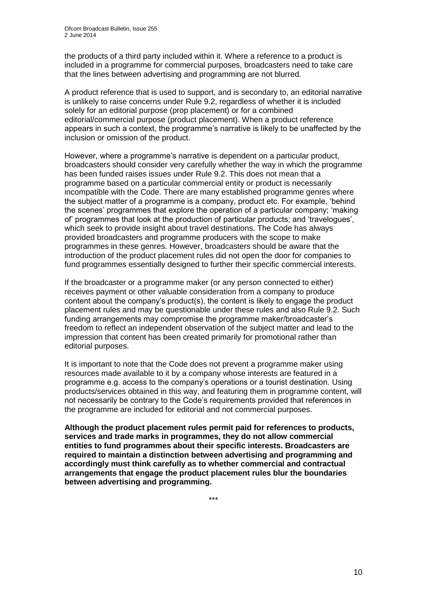the products of a third party included within it. Where a reference to a product is included in a programme for commercial purposes, broadcasters need to take care that the lines between advertising and programming are not blurred.

A product reference that is used to support, and is secondary to, an editorial narrative is unlikely to raise concerns under Rule 9.2, regardless of whether it is included solely for an editorial purpose (prop placement) or for a combined editorial/commercial purpose (product placement). When a product reference appears in such a context, the programme's narrative is likely to be unaffected by the inclusion or omission of the product.

However, where a programme's narrative is dependent on a particular product, broadcasters should consider very carefully whether the way in which the programme has been funded raises issues under Rule 9.2. This does not mean that a programme based on a particular commercial entity or product is necessarily incompatible with the Code. There are many established programme genres where the subject matter of a programme is a company, product etc. For example, 'behind the scenes' programmes that explore the operation of a particular company; 'making of' programmes that look at the production of particular products; and 'travelogues', which seek to provide insight about travel destinations. The Code has always provided broadcasters and programme producers with the scope to make programmes in these genres. However, broadcasters should be aware that the introduction of the product placement rules did not open the door for companies to fund programmes essentially designed to further their specific commercial interests.

If the broadcaster or a programme maker (or any person connected to either) receives payment or other valuable consideration from a company to produce content about the company's product(s), the content is likely to engage the product placement rules and may be questionable under these rules and also Rule 9.2. Such funding arrangements may compromise the programme maker/broadcaster's freedom to reflect an independent observation of the subject matter and lead to the impression that content has been created primarily for promotional rather than editorial purposes.

It is important to note that the Code does not prevent a programme maker using resources made available to it by a company whose interests are featured in a programme e.g. access to the company's operations or a tourist destination. Using products/services obtained in this way, and featuring them in programme content, will not necessarily be contrary to the Code's requirements provided that references in the programme are included for editorial and not commercial purposes.

**Although the product placement rules permit paid for references to products, services and trade marks in programmes, they do not allow commercial entities to fund programmes about their specific interests. Broadcasters are required to maintain a distinction between advertising and programming and accordingly must think carefully as to whether commercial and contractual arrangements that engage the product placement rules blur the boundaries between advertising and programming.** 

\*\*\*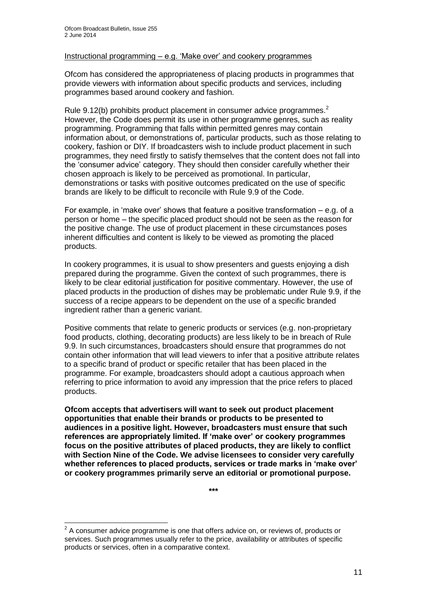## Instructional programming – e.g. 'Make over' and cookery programmes

Ofcom has considered the appropriateness of placing products in programmes that provide viewers with information about specific products and services, including programmes based around cookery and fashion.

Rule 9.12(b) prohibits product placement in consumer advice programmes.<sup>2</sup> However, the Code does permit its use in other programme genres, such as reality programming. Programming that falls within permitted genres may contain information about, or demonstrations of, particular products, such as those relating to cookery, fashion or DIY. If broadcasters wish to include product placement in such programmes, they need firstly to satisfy themselves that the content does not fall into the 'consumer advice' category. They should then consider carefully whether their chosen approach is likely to be perceived as promotional. In particular, demonstrations or tasks with positive outcomes predicated on the use of specific brands are likely to be difficult to reconcile with Rule 9.9 of the Code.

For example, in 'make over' shows that feature a positive transformation – e.g. of a person or home – the specific placed product should not be seen as the reason for the positive change. The use of product placement in these circumstances poses inherent difficulties and content is likely to be viewed as promoting the placed products.

In cookery programmes, it is usual to show presenters and guests enjoying a dish prepared during the programme. Given the context of such programmes, there is likely to be clear editorial justification for positive commentary. However, the use of placed products in the production of dishes may be problematic under Rule 9.9, if the success of a recipe appears to be dependent on the use of a specific branded ingredient rather than a generic variant.

Positive comments that relate to generic products or services (e.g. non-proprietary food products, clothing, decorating products) are less likely to be in breach of Rule 9.9. In such circumstances, broadcasters should ensure that programmes do not contain other information that will lead viewers to infer that a positive attribute relates to a specific brand of product or specific retailer that has been placed in the programme. For example, broadcasters should adopt a cautious approach when referring to price information to avoid any impression that the price refers to placed products.

**Ofcom accepts that advertisers will want to seek out product placement opportunities that enable their brands or products to be presented to audiences in a positive light. However, broadcasters must ensure that such references are appropriately limited. If 'make over' or cookery programmes focus on the positive attributes of placed products, they are likely to conflict with Section Nine of the Code. We advise licensees to consider very carefully whether references to placed products, services or trade marks in 'make over' or cookery programmes primarily serve an editorial or promotional purpose.**

**\*\*\***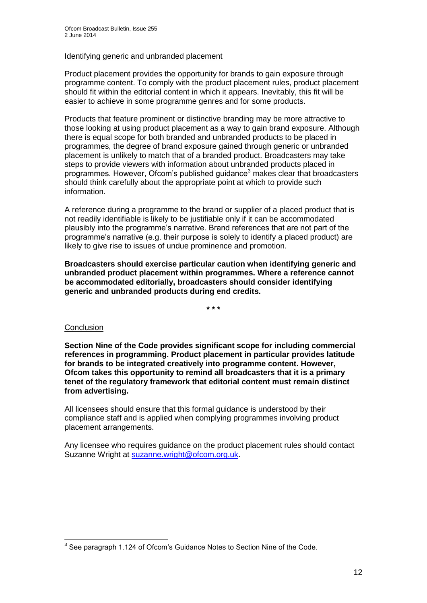## Identifying generic and unbranded placement

Product placement provides the opportunity for brands to gain exposure through programme content. To comply with the product placement rules, product placement should fit within the editorial content in which it appears. Inevitably, this fit will be easier to achieve in some programme genres and for some products.

Products that feature prominent or distinctive branding may be more attractive to those looking at using product placement as a way to gain brand exposure. Although there is equal scope for both branded and unbranded products to be placed in programmes, the degree of brand exposure gained through generic or unbranded placement is unlikely to match that of a branded product. Broadcasters may take steps to provide viewers with information about unbranded products placed in programmes. However, Ofcom's published guidance<sup>3</sup> makes clear that broadcasters should think carefully about the appropriate point at which to provide such information.

A reference during a programme to the brand or supplier of a placed product that is not readily identifiable is likely to be justifiable only if it can be accommodated plausibly into the programme's narrative. Brand references that are not part of the programme's narrative (e.g. their purpose is solely to identify a placed product) are likely to give rise to issues of undue prominence and promotion.

**Broadcasters should exercise particular caution when identifying generic and unbranded product placement within programmes. Where a reference cannot be accommodated editorially, broadcasters should consider identifying generic and unbranded products during end credits.**

**\* \* \***

#### **Conclusion**

**Section Nine of the Code provides significant scope for including commercial references in programming. Product placement in particular provides latitude for brands to be integrated creatively into programme content. However, Ofcom takes this opportunity to remind all broadcasters that it is a primary tenet of the regulatory framework that editorial content must remain distinct from advertising.** 

All licensees should ensure that this formal guidance is understood by their compliance staff and is applied when complying programmes involving product placement arrangements.

Any licensee who requires guidance on the product placement rules should contact Suzanne Wright at [suzanne.wright@ofcom.org.uk.](mailto:suzanne.wright@ofcom.org.uk)

 3 See paragraph 1.124 of Ofcom's Guidance Notes to Section Nine of the Code.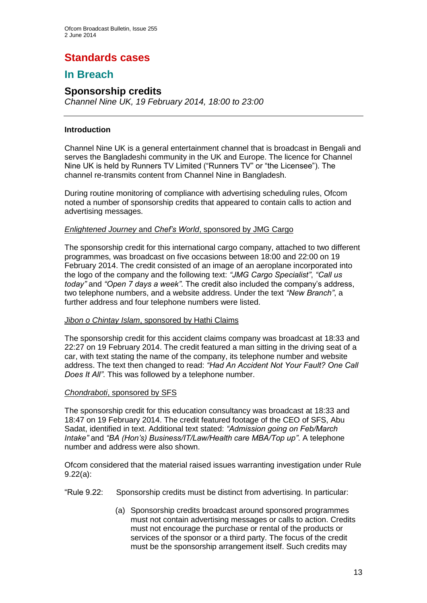# **Standards cases**

# **In Breach**

## **Sponsorship credits**

*Channel Nine UK, 19 February 2014, 18:00 to 23:00*

## **Introduction**

Channel Nine UK is a general entertainment channel that is broadcast in Bengali and serves the Bangladeshi community in the UK and Europe. The licence for Channel Nine UK is held by Runners TV Limited ("Runners TV" or "the Licensee"). The channel re-transmits content from Channel Nine in Bangladesh.

During routine monitoring of compliance with advertising scheduling rules, Ofcom noted a number of sponsorship credits that appeared to contain calls to action and advertising messages.

## *Enlightened Journey* and *Chef's World*, sponsored by JMG Cargo

The sponsorship credit for this international cargo company, attached to two different programmes, was broadcast on five occasions between 18:00 and 22:00 on 19 February 2014. The credit consisted of an image of an aeroplane incorporated into the logo of the company and the following text: *"JMG Cargo Specialist"*, *"Call us today"* and *"Open 7 days a week"*. The credit also included the company's address, two telephone numbers, and a website address. Under the text *"New Branch"*, a further address and four telephone numbers were listed.

## *Jibon o Chintay Islam*, sponsored by Hathi Claims

The sponsorship credit for this accident claims company was broadcast at 18:33 and 22:27 on 19 February 2014. The credit featured a man sitting in the driving seat of a car, with text stating the name of the company, its telephone number and website address. The text then changed to read: *"Had An Accident Not Your Fault? One Call Does It All"*. This was followed by a telephone number.

## *Chondraboti*, sponsored by SFS

The sponsorship credit for this education consultancy was broadcast at 18:33 and 18:47 on 19 February 2014. The credit featured footage of the CEO of SFS, Abu Sadat, identified in text. Additional text stated: *"Admission going on Feb/March Intake"* and *"BA (Hon's) Business/IT/Law/Health care MBA/Top up"*. A telephone number and address were also shown.

Ofcom considered that the material raised issues warranting investigation under Rule 9.22(a):

"Rule 9.22: Sponsorship credits must be distinct from advertising. In particular:

(a) Sponsorship credits broadcast around sponsored programmes must not contain advertising messages or calls to action. Credits must not encourage the purchase or rental of the products or services of the sponsor or a third party. The focus of the credit must be the sponsorship arrangement itself. Such credits may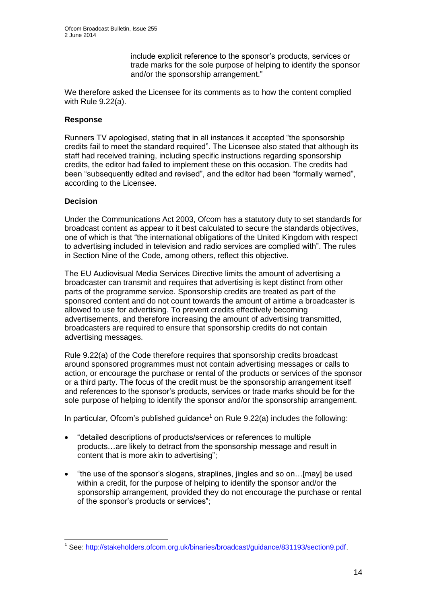include explicit reference to the sponsor's products, services or trade marks for the sole purpose of helping to identify the sponsor and/or the sponsorship arrangement."

We therefore asked the Licensee for its comments as to how the content complied with Rule 9.22(a).

## **Response**

Runners TV apologised, stating that in all instances it accepted "the sponsorship credits fail to meet the standard required". The Licensee also stated that although its staff had received training, including specific instructions regarding sponsorship credits, the editor had failed to implement these on this occasion. The credits had been "subsequently edited and revised", and the editor had been "formally warned", according to the Licensee.

## **Decision**

Under the Communications Act 2003, Ofcom has a statutory duty to set standards for broadcast content as appear to it best calculated to secure the standards objectives, one of which is that "the international obligations of the United Kingdom with respect to advertising included in television and radio services are complied with". The rules in Section Nine of the Code, among others, reflect this objective.

The EU Audiovisual Media Services Directive limits the amount of advertising a broadcaster can transmit and requires that advertising is kept distinct from other parts of the programme service. Sponsorship credits are treated as part of the sponsored content and do not count towards the amount of airtime a broadcaster is allowed to use for advertising. To prevent credits effectively becoming advertisements, and therefore increasing the amount of advertising transmitted, broadcasters are required to ensure that sponsorship credits do not contain advertising messages.

Rule 9.22(a) of the Code therefore requires that sponsorship credits broadcast around sponsored programmes must not contain advertising messages or calls to action, or encourage the purchase or rental of the products or services of the sponsor or a third party. The focus of the credit must be the sponsorship arrangement itself and references to the sponsor's products, services or trade marks should be for the sole purpose of helping to identify the sponsor and/or the sponsorship arrangement.

In particular, Ofcom's published guidance<sup>1</sup> on Rule  $9.22(a)$  includes the following:

- "detailed descriptions of products/services or references to multiple products…are likely to detract from the sponsorship message and result in content that is more akin to advertising";
- "the use of the sponsor's slogans, straplines, jingles and so on…[may] be used within a credit, for the purpose of helping to identify the sponsor and/or the sponsorship arrangement, provided they do not encourage the purchase or rental of the sponsor's products or services";

<sup>1</sup> <sup>1</sup> See: [http://stakeholders.ofcom.org.uk/binaries/broadcast/guidance/831193/section9.pdf.](http://stakeholders.ofcom.org.uk/binaries/broadcast/guidance/831193/section9.pdf)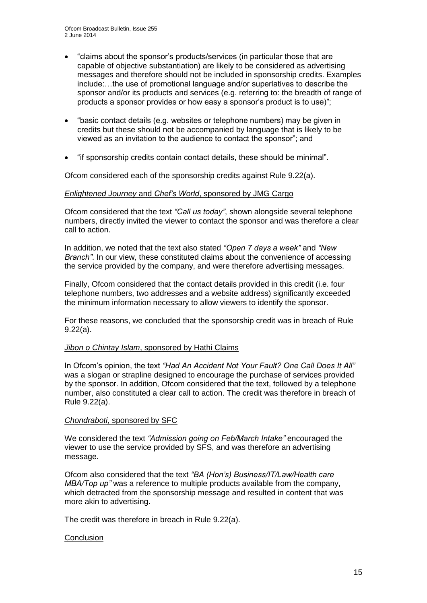- "claims about the sponsor's products/services (in particular those that are capable of objective substantiation) are likely to be considered as advertising messages and therefore should not be included in sponsorship credits. Examples include:…the use of promotional language and/or superlatives to describe the sponsor and/or its products and services (e.g. referring to: the breadth of range of products a sponsor provides or how easy a sponsor's product is to use)";
- "basic contact details (e.g. websites or telephone numbers) may be given in credits but these should not be accompanied by language that is likely to be viewed as an invitation to the audience to contact the sponsor"; and
- "if sponsorship credits contain contact details, these should be minimal".

Ofcom considered each of the sponsorship credits against Rule 9.22(a).

## *Enlightened Journey* and *Chef's World*, sponsored by JMG Cargo

Ofcom considered that the text *"Call us today"*, shown alongside several telephone numbers, directly invited the viewer to contact the sponsor and was therefore a clear call to action.

In addition, we noted that the text also stated *"Open 7 days a week"* and *"New Branch"*. In our view, these constituted claims about the convenience of accessing the service provided by the company, and were therefore advertising messages.

Finally, Ofcom considered that the contact details provided in this credit (i.e. four telephone numbers, two addresses and a website address) significantly exceeded the minimum information necessary to allow viewers to identify the sponsor.

For these reasons, we concluded that the sponsorship credit was in breach of Rule 9.22(a).

#### *Jibon o Chintay Islam*, sponsored by Hathi Claims

In Ofcom's opinion, the text *"Had An Accident Not Your Fault? One Call Does It All"* was a slogan or strapline designed to encourage the purchase of services provided by the sponsor. In addition, Ofcom considered that the text, followed by a telephone number, also constituted a clear call to action. The credit was therefore in breach of Rule 9.22(a).

#### *Chondraboti*, sponsored by SFC

We considered the text *"Admission going on Feb/March Intake"* encouraged the viewer to use the service provided by SFS, and was therefore an advertising message.

Ofcom also considered that the text *"BA (Hon's) Business/IT/Law/Health care MBA/Top up"* was a reference to multiple products available from the company, which detracted from the sponsorship message and resulted in content that was more akin to advertising.

The credit was therefore in breach in Rule 9.22(a).

#### **Conclusion**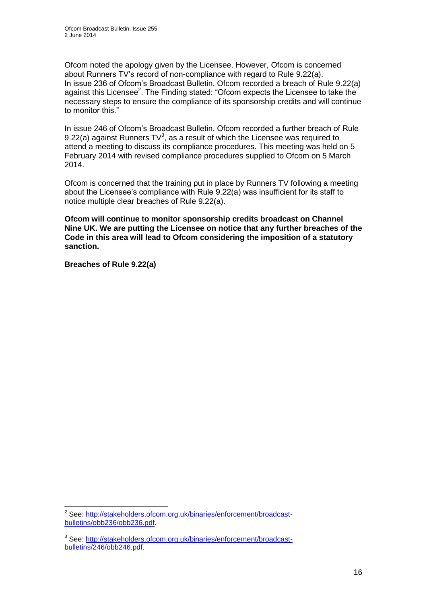Ofcom noted the apology given by the Licensee. However, Ofcom is concerned about Runners TV's record of non-compliance with regard to Rule 9.22(a). In issue 236 of Ofcom's Broadcast Bulletin, Ofcom recorded a breach of Rule 9.22(a) against this Licensee<sup>2</sup>. The Finding stated: "Ofcom expects the Licensee to take the necessary steps to ensure the compliance of its sponsorship credits and will continue to monitor this."

In issue 246 of Ofcom's Broadcast Bulletin, Ofcom recorded a further breach of Rule 9.22(a) against Runners  $TV^3$ , as a result of which the Licensee was required to attend a meeting to discuss its compliance procedures. This meeting was held on 5 February 2014 with revised compliance procedures supplied to Ofcom on 5 March 2014.

Ofcom is concerned that the training put in place by Runners TV following a meeting about the Licensee's compliance with Rule 9.22(a) was insufficient for its staff to notice multiple clear breaches of Rule 9.22(a).

**Ofcom will continue to monitor sponsorship credits broadcast on Channel Nine UK. We are putting the Licensee on notice that any further breaches of the Code in this area will lead to Ofcom considering the imposition of a statutory sanction.**

**Breaches of Rule 9.22(a)**

<sup>1</sup> <sup>2</sup> See: [http://stakeholders.ofcom.org.uk/binaries/enforcement/broadcast](http://stakeholders.ofcom.org.uk/binaries/enforcement/broadcast-bulletins/obb236/obb236.pdf)[bulletins/obb236/obb236.pdf.](http://stakeholders.ofcom.org.uk/binaries/enforcement/broadcast-bulletins/obb236/obb236.pdf)

<sup>&</sup>lt;sup>3</sup> See: [http://stakeholders.ofcom.org.uk/binaries/enforcement/broadcast](http://stakeholders.ofcom.org.uk/binaries/enforcement/broadcast-bulletins/246/obb246.pdf)[bulletins/246/obb246.pdf.](http://stakeholders.ofcom.org.uk/binaries/enforcement/broadcast-bulletins/246/obb246.pdf)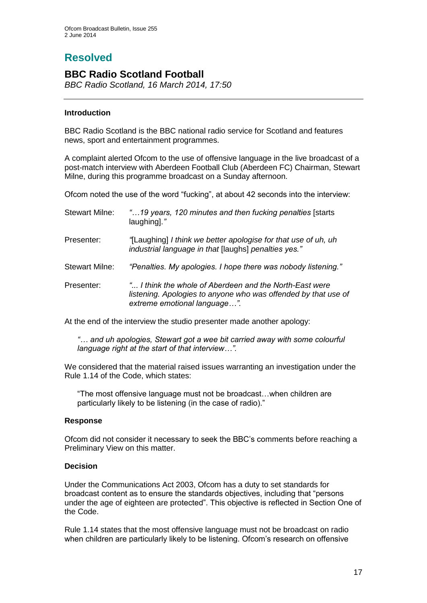# **Resolved**

## **BBC Radio Scotland Football**

*BBC Radio Scotland, 16 March 2014, 17:50*

## **Introduction**

BBC Radio Scotland is the BBC national radio service for Scotland and features news, sport and entertainment programmes.

A complaint alerted Ofcom to the use of offensive language in the live broadcast of a post-match interview with Aberdeen Football Club (Aberdeen FC) Chairman, Stewart Milne, during this programme broadcast on a Sunday afternoon.

Ofcom noted the use of the word "fucking", at about 42 seconds into the interview:

| <b>Stewart Milne:</b> | "19 years, 120 minutes and then fucking penalties [starts]<br>laughing]."                                                                                 |
|-----------------------|-----------------------------------------------------------------------------------------------------------------------------------------------------------|
| Presenter:            | "[Laughing] I think we better apologise for that use of uh, uh<br>industrial language in that [laughs] penalties yes."                                    |
| <b>Stewart Milne:</b> | "Penalties. My apologies. I hope there was nobody listening."                                                                                             |
| Presenter:            | " I think the whole of Aberdeen and the North-East were<br>listening. Apologies to anyone who was offended by that use of<br>extreme emotional language". |

At the end of the interview the studio presenter made another apology:

*"… and uh apologies, Stewart got a wee bit carried away with some colourful language right at the start of that interview…".*

We considered that the material raised issues warranting an investigation under the Rule 1.14 of the Code, which states:

"The most offensive language must not be broadcast…when children are particularly likely to be listening (in the case of radio)."

## **Response**

Ofcom did not consider it necessary to seek the BBC's comments before reaching a Preliminary View on this matter.

## **Decision**

Under the Communications Act 2003, Ofcom has a duty to set standards for broadcast content as to ensure the standards objectives, including that "persons under the age of eighteen are protected". This objective is reflected in Section One of the Code.

Rule 1.14 states that the most offensive language must not be broadcast on radio when children are particularly likely to be listening. Ofcom's research on offensive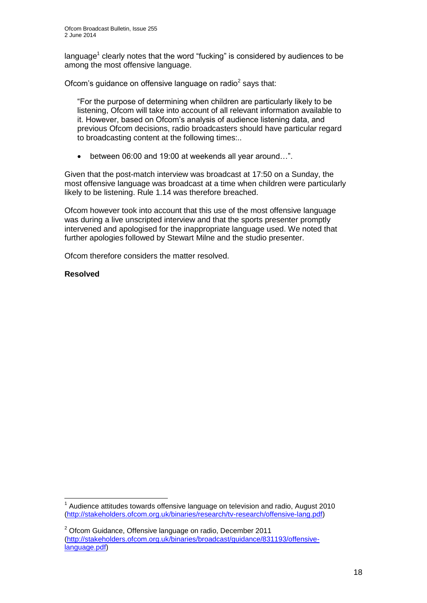language<sup>1</sup> clearly notes that the word "fucking" is considered by audiences to be among the most offensive language.

Ofcom's guidance on offensive language on radio $2$  says that:

"For the purpose of determining when children are particularly likely to be listening, Ofcom will take into account of all relevant information available to it. However, based on Ofcom's analysis of audience listening data, and previous Ofcom decisions, radio broadcasters should have particular regard to broadcasting content at the following times:..

between 06:00 and 19:00 at weekends all year around…".

Given that the post-match interview was broadcast at 17:50 on a Sunday, the most offensive language was broadcast at a time when children were particularly likely to be listening. Rule 1.14 was therefore breached.

Ofcom however took into account that this use of the most offensive language was during a live unscripted interview and that the sports presenter promptly intervened and apologised for the inappropriate language used. We noted that further apologies followed by Stewart Milne and the studio presenter.

Ofcom therefore considers the matter resolved.

## **Resolved**

1

 $1$  Audience attitudes towards offensive language on television and radio, August 2010 [\(http://stakeholders.ofcom.org.uk/binaries/research/tv-research/offensive-lang.pdf\)](http://stakeholders.ofcom.org.uk/binaries/research/tv-research/offensive-lang.pdf)

 $2$  Ofcom Guidance, Offensive language on radio, December 2011 [\(http://stakeholders.ofcom.org.uk/binaries/broadcast/guidance/831193/offensive](http://stakeholders.ofcom.org.uk/binaries/broadcast/guidance/831193/offensive-language.pdf)[language.pdf\)](http://stakeholders.ofcom.org.uk/binaries/broadcast/guidance/831193/offensive-language.pdf)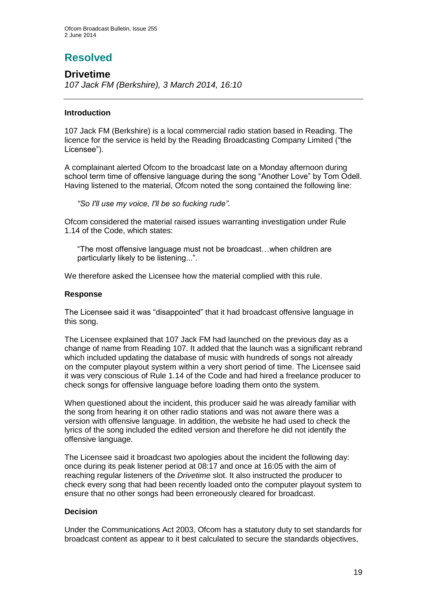# **Resolved**

## **Drivetime**

*107 Jack FM (Berkshire), 3 March 2014, 16:10*

## **Introduction**

107 Jack FM (Berkshire) is a local commercial radio station based in Reading. The licence for the service is held by the Reading Broadcasting Company Limited ("the Licensee").

A complainant alerted Ofcom to the broadcast late on a Monday afternoon during school term time of offensive language during the song "Another Love" by Tom Odell. Having listened to the material, Ofcom noted the song contained the following line:

*"So I'll use my voice, I'll be so fucking rude".*

Ofcom considered the material raised issues warranting investigation under Rule 1.14 of the Code, which states:

"The most offensive language must not be broadcast…when children are particularly likely to be listening...".

We therefore asked the Licensee how the material complied with this rule.

## **Response**

The Licensee said it was "disappointed" that it had broadcast offensive language in this song.

The Licensee explained that 107 Jack FM had launched on the previous day as a change of name from Reading 107. It added that the launch was a significant rebrand which included updating the database of music with hundreds of songs not already on the computer playout system within a very short period of time. The Licensee said it was very conscious of Rule 1.14 of the Code and had hired a freelance producer to check songs for offensive language before loading them onto the system.

When questioned about the incident, this producer said he was already familiar with the song from hearing it on other radio stations and was not aware there was a version with offensive language. In addition, the website he had used to check the lyrics of the song included the edited version and therefore he did not identify the offensive language.

The Licensee said it broadcast two apologies about the incident the following day: once during its peak listener period at 08:17 and once at 16:05 with the aim of reaching regular listeners of the *Drivetime* slot. It also instructed the producer to check every song that had been recently loaded onto the computer playout system to ensure that no other songs had been erroneously cleared for broadcast.

## **Decision**

Under the Communications Act 2003, Ofcom has a statutory duty to set standards for broadcast content as appear to it best calculated to secure the standards objectives,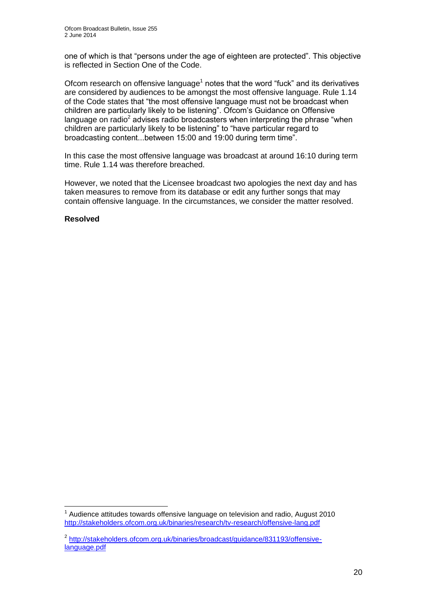one of which is that "persons under the age of eighteen are protected". This objective is reflected in Section One of the Code.

Ofcom research on offensive language<sup>1</sup> notes that the word "fuck" and its derivatives are considered by audiences to be amongst the most offensive language. Rule 1.14 of the Code states that "the most offensive language must not be broadcast when children are particularly likely to be listening". Ofcom's Guidance on Offensive language on radio<sup>2</sup> advises radio broadcasters when interpreting the phrase "when children are particularly likely to be listening" to "have particular regard to broadcasting content...between 15:00 and 19:00 during term time".

In this case the most offensive language was broadcast at around 16:10 during term time. Rule 1.14 was therefore breached.

However, we noted that the Licensee broadcast two apologies the next day and has taken measures to remove from its database or edit any further songs that may contain offensive language. In the circumstances, we consider the matter resolved.

## **Resolved**

<sup>1</sup>  $1$  Audience attitudes towards offensive language on television and radio, August 2010 <http://stakeholders.ofcom.org.uk/binaries/research/tv-research/offensive-lang.pdf>

<sup>&</sup>lt;sup>2</sup> [http://stakeholders.ofcom.org.uk/binaries/broadcast/guidance/831193/offensive](http://stakeholders.ofcom.org.uk/binaries/broadcast/guidance/831193/offensive-language.pdf)[language.pdf](http://stakeholders.ofcom.org.uk/binaries/broadcast/guidance/831193/offensive-language.pdf)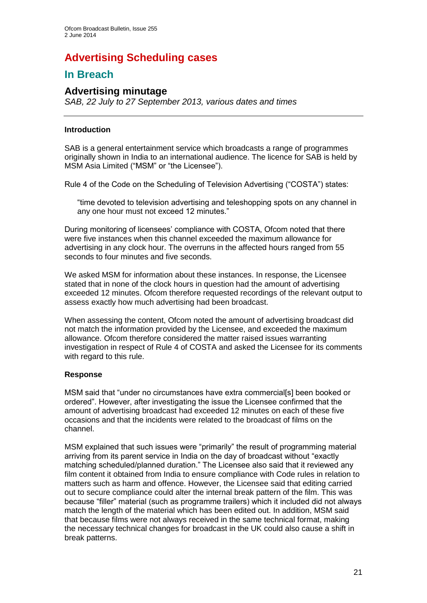# **Advertising Scheduling cases**

# **In Breach**

## **Advertising minutage**

*SAB, 22 July to 27 September 2013, various dates and times*

## **Introduction**

SAB is a general entertainment service which broadcasts a range of programmes originally shown in India to an international audience. The licence for SAB is held by MSM Asia Limited ("MSM" or "the Licensee").

Rule 4 of the Code on the Scheduling of Television Advertising ("COSTA") states:

"time devoted to television advertising and teleshopping spots on any channel in any one hour must not exceed 12 minutes."

During monitoring of licensees' compliance with COSTA, Ofcom noted that there were five instances when this channel exceeded the maximum allowance for advertising in any clock hour. The overruns in the affected hours ranged from 55 seconds to four minutes and five seconds.

We asked MSM for information about these instances. In response, the Licensee stated that in none of the clock hours in question had the amount of advertising exceeded 12 minutes. Ofcom therefore requested recordings of the relevant output to assess exactly how much advertising had been broadcast.

When assessing the content, Ofcom noted the amount of advertising broadcast did not match the information provided by the Licensee, and exceeded the maximum allowance. Ofcom therefore considered the matter raised issues warranting investigation in respect of Rule 4 of COSTA and asked the Licensee for its comments with regard to this rule.

## **Response**

MSM said that "under no circumstances have extra commercial[s] been booked or ordered". However, after investigating the issue the Licensee confirmed that the amount of advertising broadcast had exceeded 12 minutes on each of these five occasions and that the incidents were related to the broadcast of films on the channel.

MSM explained that such issues were "primarily" the result of programming material arriving from its parent service in India on the day of broadcast without "exactly matching scheduled/planned duration." The Licensee also said that it reviewed any film content it obtained from India to ensure compliance with Code rules in relation to matters such as harm and offence. However, the Licensee said that editing carried out to secure compliance could alter the internal break pattern of the film. This was because "filler" material (such as programme trailers) which it included did not always match the length of the material which has been edited out. In addition, MSM said that because films were not always received in the same technical format, making the necessary technical changes for broadcast in the UK could also cause a shift in break patterns.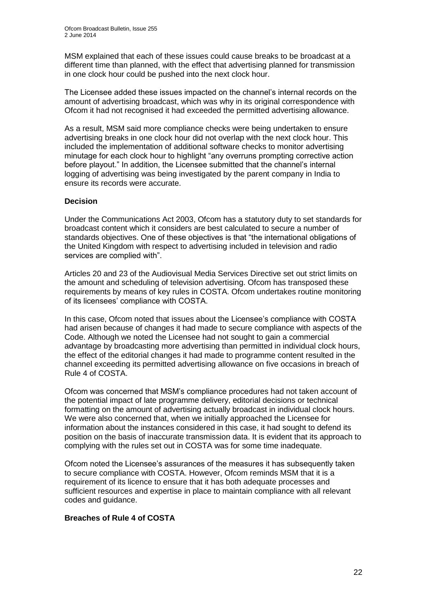MSM explained that each of these issues could cause breaks to be broadcast at a different time than planned, with the effect that advertising planned for transmission in one clock hour could be pushed into the next clock hour.

The Licensee added these issues impacted on the channel's internal records on the amount of advertising broadcast, which was why in its original correspondence with Ofcom it had not recognised it had exceeded the permitted advertising allowance.

As a result, MSM said more compliance checks were being undertaken to ensure advertising breaks in one clock hour did not overlap with the next clock hour. This included the implementation of additional software checks to monitor advertising minutage for each clock hour to highlight "any overruns prompting corrective action before playout." In addition, the Licensee submitted that the channel's internal logging of advertising was being investigated by the parent company in India to ensure its records were accurate.

## **Decision**

Under the Communications Act 2003, Ofcom has a statutory duty to set standards for broadcast content which it considers are best calculated to secure a number of standards objectives. One of these objectives is that "the international obligations of the United Kingdom with respect to advertising included in television and radio services are complied with".

Articles 20 and 23 of the Audiovisual Media Services Directive set out strict limits on the amount and scheduling of television advertising. Ofcom has transposed these requirements by means of key rules in COSTA. Ofcom undertakes routine monitoring of its licensees' compliance with COSTA.

In this case, Ofcom noted that issues about the Licensee's compliance with COSTA had arisen because of changes it had made to secure compliance with aspects of the Code. Although we noted the Licensee had not sought to gain a commercial advantage by broadcasting more advertising than permitted in individual clock hours, the effect of the editorial changes it had made to programme content resulted in the channel exceeding its permitted advertising allowance on five occasions in breach of Rule 4 of COSTA.

Ofcom was concerned that MSM's compliance procedures had not taken account of the potential impact of late programme delivery, editorial decisions or technical formatting on the amount of advertising actually broadcast in individual clock hours. We were also concerned that, when we initially approached the Licensee for information about the instances considered in this case, it had sought to defend its position on the basis of inaccurate transmission data. It is evident that its approach to complying with the rules set out in COSTA was for some time inadequate.

Ofcom noted the Licensee's assurances of the measures it has subsequently taken to secure compliance with COSTA. However, Ofcom reminds MSM that it is a requirement of its licence to ensure that it has both adequate processes and sufficient resources and expertise in place to maintain compliance with all relevant codes and guidance.

## **Breaches of Rule 4 of COSTA**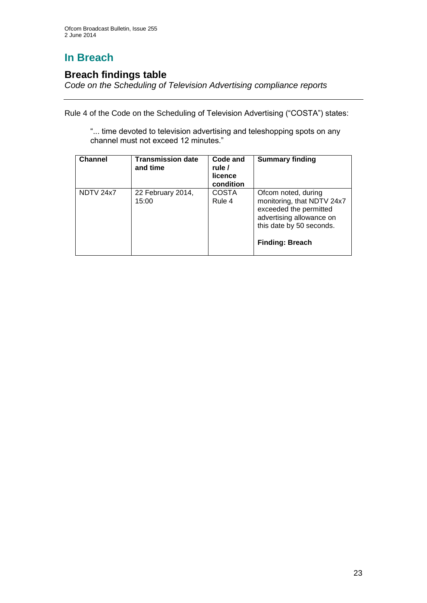# **In Breach**

## **Breach findings table**

*Code on the Scheduling of Television Advertising compliance reports*

Rule 4 of the Code on the Scheduling of Television Advertising ("COSTA") states:

"... time devoted to television advertising and teleshopping spots on any channel must not exceed 12 minutes."

| <b>Channel</b> | <b>Transmission date</b><br>and time | Code and<br>rule /<br>licence<br>condition | <b>Summary finding</b>                                                                                                                                        |
|----------------|--------------------------------------|--------------------------------------------|---------------------------------------------------------------------------------------------------------------------------------------------------------------|
| NDTV 24x7      | 22 February 2014,<br>15:00           | <b>COSTA</b><br>Rule 4                     | Ofcom noted, during<br>monitoring, that NDTV 24x7<br>exceeded the permitted<br>advertising allowance on<br>this date by 50 seconds.<br><b>Finding: Breach</b> |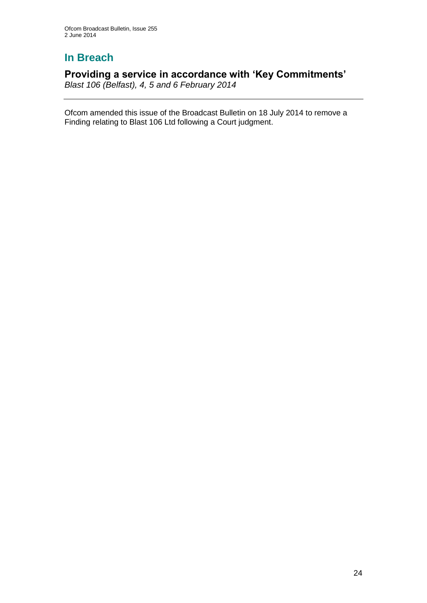# **In Breach**

## **Providing a service in accordance with 'Key Commitments'**

*Blast 106 (Belfast), 4, 5 and 6 February 2014*

Ofcom amended this issue of the Broadcast Bulletin on 18 July 2014 to remove a Finding relating to Blast 106 Ltd following a Court judgment.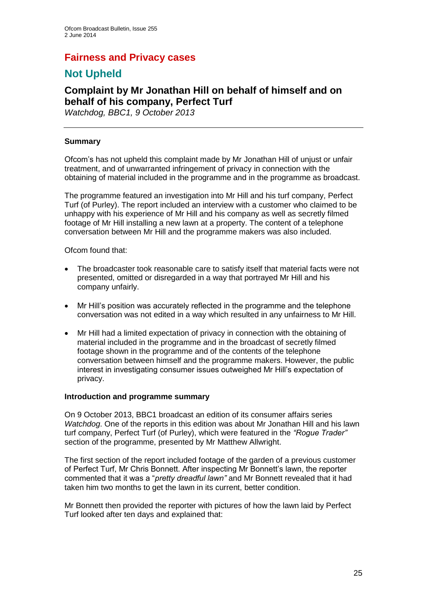## **Fairness and Privacy cases**

# **Not Upheld**

## **Complaint by Mr Jonathan Hill on behalf of himself and on behalf of his company, Perfect Turf**

*Watchdog, BBC1, 9 October 2013*

## **Summary**

Ofcom's has not upheld this complaint made by Mr Jonathan Hill of unjust or unfair treatment, and of unwarranted infringement of privacy in connection with the obtaining of material included in the programme and in the programme as broadcast.

The programme featured an investigation into Mr Hill and his turf company, Perfect Turf (of Purley). The report included an interview with a customer who claimed to be unhappy with his experience of Mr Hill and his company as well as secretly filmed footage of Mr Hill installing a new lawn at a property. The content of a telephone conversation between Mr Hill and the programme makers was also included.

Ofcom found that:

- The broadcaster took reasonable care to satisfy itself that material facts were not presented, omitted or disregarded in a way that portrayed Mr Hill and his company unfairly.
- Mr Hill's position was accurately reflected in the programme and the telephone conversation was not edited in a way which resulted in any unfairness to Mr Hill.
- Mr Hill had a limited expectation of privacy in connection with the obtaining of material included in the programme and in the broadcast of secretly filmed footage shown in the programme and of the contents of the telephone conversation between himself and the programme makers. However, the public interest in investigating consumer issues outweighed Mr Hill's expectation of privacy.

#### **Introduction and programme summary**

On 9 October 2013, BBC1 broadcast an edition of its consumer affairs series *Watchdog*. One of the reports in this edition was about Mr Jonathan Hill and his lawn turf company, Perfect Turf (of Purley), which were featured in the *"Rogue Trader"* section of the programme, presented by Mr Matthew Allwright.

The first section of the report included footage of the garden of a previous customer of Perfect Turf, Mr Chris Bonnett. After inspecting Mr Bonnett's lawn, the reporter commented that it was a "*pretty dreadful lawn"* and Mr Bonnett revealed that it had taken him two months to get the lawn in its current, better condition.

Mr Bonnett then provided the reporter with pictures of how the lawn laid by Perfect Turf looked after ten days and explained that: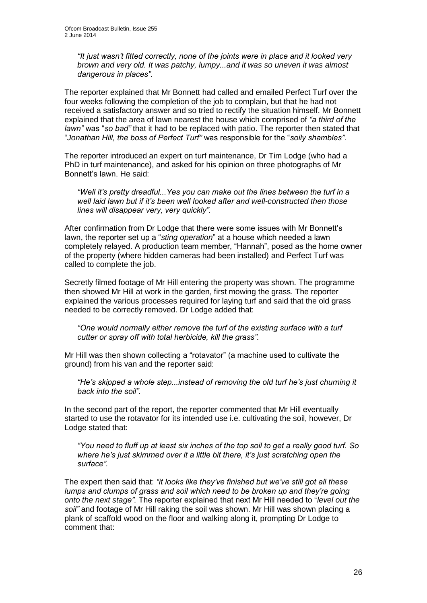*"It just wasn't fitted correctly, none of the joints were in place and it looked very brown and very old. It was patchy, lumpy...and it was so uneven it was almost dangerous in places".*

The reporter explained that Mr Bonnett had called and emailed Perfect Turf over the four weeks following the completion of the job to complain, but that he had not received a satisfactory answer and so tried to rectify the situation himself. Mr Bonnett explained that the area of lawn nearest the house which comprised of *"a third of the lawn"* was "*so bad"* that it had to be replaced with patio. The reporter then stated that "*Jonathan Hill, the boss of Perfect Turf"* was responsible for the "*soily shambles"*.

The reporter introduced an expert on turf maintenance, Dr Tim Lodge (who had a PhD in turf maintenance), and asked for his opinion on three photographs of Mr Bonnett's lawn. He said:

*"Well it's pretty dreadful...Yes you can make out the lines between the turf in a well laid lawn but if it's been well looked after and well-constructed then those lines will disappear very, very quickly".*

After confirmation from Dr Lodge that there were some issues with Mr Bonnett's lawn, the reporter set up a "*sting operation*" at a house which needed a lawn completely relayed. A production team member, "Hannah", posed as the home owner of the property (where hidden cameras had been installed) and Perfect Turf was called to complete the job.

Secretly filmed footage of Mr Hill entering the property was shown. The programme then showed Mr Hill at work in the garden, first mowing the grass. The reporter explained the various processes required for laying turf and said that the old grass needed to be correctly removed. Dr Lodge added that:

*"One would normally either remove the turf of the existing surface with a turf cutter or spray off with total herbicide, kill the grass".*

Mr Hill was then shown collecting a "rotavator" (a machine used to cultivate the ground) from his van and the reporter said:

*"He's skipped a whole step...instead of removing the old turf he's just churning it back into the soil".*

In the second part of the report, the reporter commented that Mr Hill eventually started to use the rotavator for its intended use i.e. cultivating the soil, however, Dr Lodge stated that:

*"You need to fluff up at least six inches of the top soil to get a really good turf. So where he's just skimmed over it a little bit there, it's just scratching open the surface".*

The expert then said that: *"it looks like they've finished but we've still got all these lumps and clumps of grass and soil which need to be broken up and they're going onto the next stage".* The reporter explained that next Mr Hill needed to "*level out the soil"* and footage of Mr Hill raking the soil was shown. Mr Hill was shown placing a plank of scaffold wood on the floor and walking along it, prompting Dr Lodge to comment that: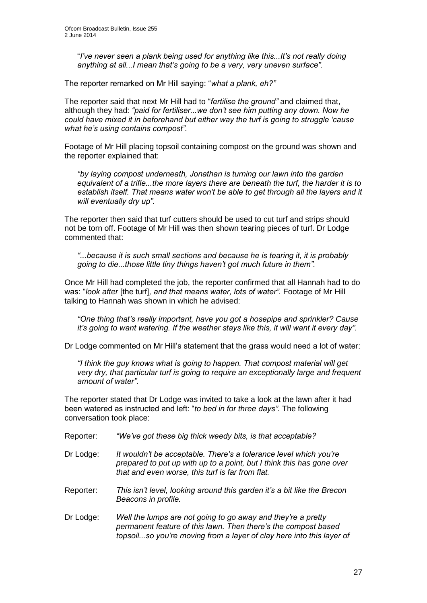"*I've never seen a plank being used for anything like this...It's not really doing anything at all...I mean that's going to be a very, very uneven surface".*

The reporter remarked on Mr Hill saying: "*what a plank, eh?"*

The reporter said that next Mr Hill had to "*fertilise the ground"* and claimed that, although they had: *"paid for fertiliser...we don't see him putting any down. Now he could have mixed it in beforehand but either way the turf is going to struggle 'cause what he's using contains compost".*

Footage of Mr Hill placing topsoil containing compost on the ground was shown and the reporter explained that:

*"by laying compost underneath, Jonathan is turning our lawn into the garden equivalent of a trifle...the more layers there are beneath the turf, the harder it is to establish itself. That means water won't be able to get through all the layers and it will eventually dry up".*

The reporter then said that turf cutters should be used to cut turf and strips should not be torn off. Footage of Mr Hill was then shown tearing pieces of turf. Dr Lodge commented that:

*"...because it is such small sections and because he is tearing it, it is probably going to die...those little tiny things haven't got much future in them".* 

Once Mr Hill had completed the job, the reporter confirmed that all Hannah had to do was: "*look after* [the turf]*, and that means water, lots of water".* Footage of Mr Hill talking to Hannah was shown in which he advised:

*"One thing that's really important, have you got a hosepipe and sprinkler? Cause it's going to want watering. If the weather stays like this, it will want it every day".* 

Dr Lodge commented on Mr Hill's statement that the grass would need a lot of water:

*"I think the guy knows what is going to happen. That compost material will get very dry, that particular turf is going to require an exceptionally large and frequent amount of water".*

The reporter stated that Dr Lodge was invited to take a look at the lawn after it had been watered as instructed and left: "*to bed in for three days".* The following conversation took place:

- Reporter: *"We've got these big thick weedy bits, is that acceptable?*
- Dr Lodge: *It wouldn't be acceptable. There's a tolerance level which you're prepared to put up with up to a point, but I think this has gone over that and even worse, this turf is far from flat.*
- Reporter: *This isn't level, looking around this garden it's a bit like the Brecon Beacons in profile.*
- Dr Lodge: *Well the lumps are not going to go away and they're a pretty permanent feature of this lawn. Then there's the compost based topsoil...so you're moving from a layer of clay here into this layer of*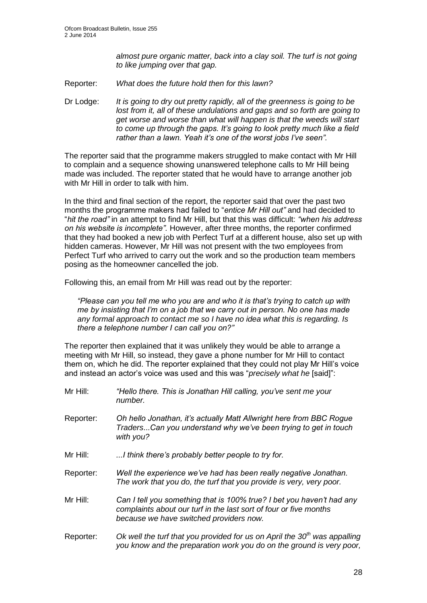*almost pure organic matter, back into a clay soil. The turf is not going to like jumping over that gap.*

Reporter: *What does the future hold then for this lawn?*

Dr Lodge: *It is going to dry out pretty rapidly, all of the greenness is going to be*  lost from it, all of these undulations and gaps and so forth are going to *get worse and worse than what will happen is that the weeds will start to come up through the gaps. It's going to look pretty much like a field rather than a lawn. Yeah it's one of the worst jobs I've seen".*

The reporter said that the programme makers struggled to make contact with Mr Hill to complain and a sequence showing unanswered telephone calls to Mr Hill being made was included. The reporter stated that he would have to arrange another job with Mr Hill in order to talk with him.

In the third and final section of the report, the reporter said that over the past two months the programme makers had failed to "*entice Mr Hill out"* and had decided to "*hit the road"* in an attempt to find Mr Hill, but that this was difficult: *"when his address on his website is incomplete".* However, after three months, the reporter confirmed that they had booked a new job with Perfect Turf at a different house, also set up with hidden cameras. However, Mr Hill was not present with the two employees from Perfect Turf who arrived to carry out the work and so the production team members posing as the homeowner cancelled the job.

Following this, an email from Mr Hill was read out by the reporter:

*"Please can you tell me who you are and who it is that's trying to catch up with me by insisting that I'm on a job that we carry out in person. No one has made any formal approach to contact me so I have no idea what this is regarding. Is there a telephone number I can call you on?"*

The reporter then explained that it was unlikely they would be able to arrange a meeting with Mr Hill, so instead, they gave a phone number for Mr Hill to contact them on, which he did. The reporter explained that they could not play Mr Hill's voice and instead an actor's voice was used and this was "*precisely what he* [said]":

- Mr Hill: *"Hello there. This is Jonathan Hill calling, you've sent me your number.* Reporter: *Oh hello Jonathan, it's actually Matt Allwright here from BBC Rogue Traders*...*Can you understand why we've been trying to get in touch with you?* Mr Hill: *...I think there's probably better people to try for.*  Reporter: *Well the experience we've had has been really negative Jonathan. The work that you do, the turf that you provide is very, very poor.* Mr Hill: *Can I tell you something that is 100% true? I bet you haven't had any complaints about our turf in the last sort of four or five months because we have switched providers now.*
- Reporter: *Ok well the turf that you provided for us on April the 30th was appalling you know and the preparation work you do on the ground is very poor,*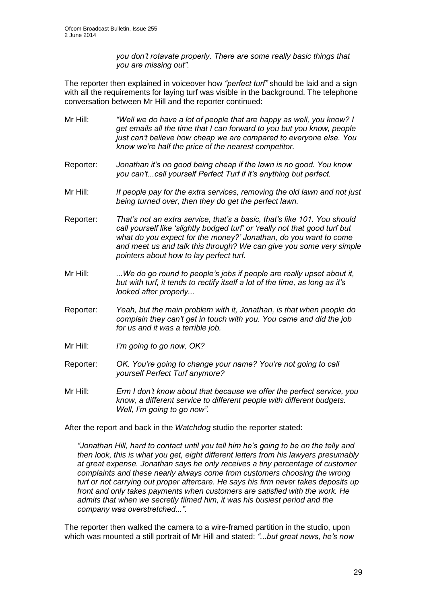*you don't rotavate properly. There are some really basic things that you are missing out".*

The reporter then explained in voiceover how *"perfect turf"* should be laid and a sign with all the requirements for laying turf was visible in the background. The telephone conversation between Mr Hill and the reporter continued:

- Mr Hill: *"Well we do have a lot of people that are happy as well, you know? I get emails all the time that I can forward to you but you know, people just can't believe how cheap we are compared to everyone else. You know we're half the price of the nearest competitor.*
- Reporter: *Jonathan it's no good being cheap if the lawn is no good. You know you can't...call yourself Perfect Turf if it's anything but perfect.*
- Mr Hill: *If people pay for the extra services, removing the old lawn and not just being turned over, then they do get the perfect lawn.*
- Reporter: *That's not an extra service, that's a basic, that's like 101. You should call yourself like 'slightly bodged turf' or 'really not that good turf but what do you expect for the money?' Jonathan, do you want to come and meet us and talk this through? We can give you some very simple pointers about how to lay perfect turf.*
- Mr Hill: *...We do go round to people's jobs if people are really upset about it, but with turf, it tends to rectify itself a lot of the time, as long as it's looked after properly...*
- Reporter: *Yeah, but the main problem with it, Jonathan, is that when people do complain they can't get in touch with you. You came and did the job for us and it was a terrible job.*
- Mr Hill: *I'm going to go now, OK?*
- Reporter: *OK. You're going to change your name? You're not going to call yourself Perfect Turf anymore?*
- Mr Hill: *Erm I don't know about that because we offer the perfect service, you know, a different service to different people with different budgets. Well, I'm going to go now".*

After the report and back in the *Watchdog* studio the reporter stated:

*"Jonathan Hill, hard to contact until you tell him he's going to be on the telly and then look, this is what you get, eight different letters from his lawyers presumably at great expense. Jonathan says he only receives a tiny percentage of customer complaints and these nearly always come from customers choosing the wrong turf or not carrying out proper aftercare. He says his firm never takes deposits up front and only takes payments when customers are satisfied with the work. He admits that when we secretly filmed him, it was his busiest period and the company was overstretched...".* 

The reporter then walked the camera to a wire-framed partition in the studio, upon which was mounted a still portrait of Mr Hill and stated: *"...but great news, he's now*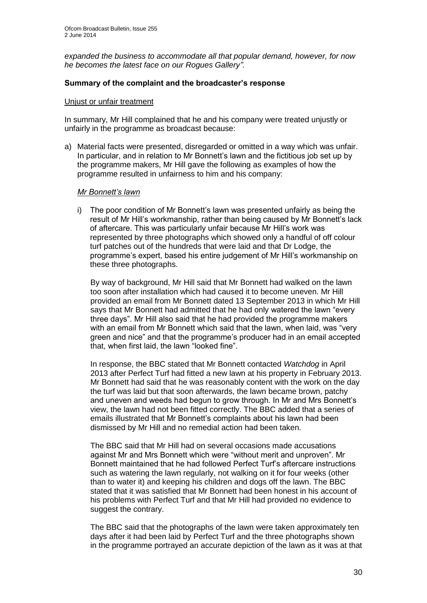*expanded the business to accommodate all that popular demand, however, for now he becomes the latest face on our Rogues Gallery".* 

## **Summary of the complaint and the broadcaster's response**

#### Unjust or unfair treatment

In summary, Mr Hill complained that he and his company were treated unjustly or unfairly in the programme as broadcast because:

a) Material facts were presented, disregarded or omitted in a way which was unfair. In particular, and in relation to Mr Bonnett's lawn and the fictitious job set up by the programme makers, Mr Hill gave the following as examples of how the programme resulted in unfairness to him and his company:

#### *Mr Bonnett's lawn*

i) The poor condition of Mr Bonnett's lawn was presented unfairly as being the result of Mr Hill's workmanship, rather than being caused by Mr Bonnett's lack of aftercare. This was particularly unfair because Mr Hill's work was represented by three photographs which showed only a handful of off colour turf patches out of the hundreds that were laid and that Dr Lodge, the programme's expert, based his entire judgement of Mr Hill's workmanship on these three photographs.

By way of background, Mr Hill said that Mr Bonnett had walked on the lawn too soon after installation which had caused it to become uneven. Mr Hill provided an email from Mr Bonnett dated 13 September 2013 in which Mr Hill says that Mr Bonnett had admitted that he had only watered the lawn "every three days". Mr Hill also said that he had provided the programme makers with an email from Mr Bonnett which said that the lawn, when laid, was "very green and nice" and that the programme's producer had in an email accepted that, when first laid, the lawn "looked fine".

In response, the BBC stated that Mr Bonnett contacted *Watchdog* in April 2013 after Perfect Turf had fitted a new lawn at his property in February 2013. Mr Bonnett had said that he was reasonably content with the work on the day the turf was laid but that soon afterwards, the lawn became brown, patchy and uneven and weeds had begun to grow through. In Mr and Mrs Bonnett's view, the lawn had not been fitted correctly. The BBC added that a series of emails illustrated that Mr Bonnett's complaints about his lawn had been dismissed by Mr Hill and no remedial action had been taken.

The BBC said that Mr Hill had on several occasions made accusations against Mr and Mrs Bonnett which were "without merit and unproven". Mr Bonnett maintained that he had followed Perfect Turf's aftercare instructions such as watering the lawn regularly, not walking on it for four weeks (other than to water it) and keeping his children and dogs off the lawn. The BBC stated that it was satisfied that Mr Bonnett had been honest in his account of his problems with Perfect Turf and that Mr Hill had provided no evidence to suggest the contrary.

The BBC said that the photographs of the lawn were taken approximately ten days after it had been laid by Perfect Turf and the three photographs shown in the programme portrayed an accurate depiction of the lawn as it was at that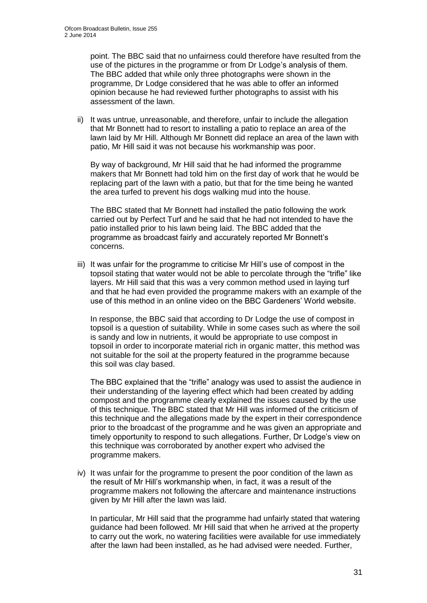point. The BBC said that no unfairness could therefore have resulted from the use of the pictures in the programme or from Dr Lodge's analysis of them. The BBC added that while only three photographs were shown in the programme, Dr Lodge considered that he was able to offer an informed opinion because he had reviewed further photographs to assist with his assessment of the lawn.

ii) It was untrue, unreasonable, and therefore, unfair to include the allegation that Mr Bonnett had to resort to installing a patio to replace an area of the lawn laid by Mr Hill. Although Mr Bonnett did replace an area of the lawn with patio, Mr Hill said it was not because his workmanship was poor.

By way of background, Mr Hill said that he had informed the programme makers that Mr Bonnett had told him on the first day of work that he would be replacing part of the lawn with a patio, but that for the time being he wanted the area turfed to prevent his dogs walking mud into the house.

The BBC stated that Mr Bonnett had installed the patio following the work carried out by Perfect Turf and he said that he had not intended to have the patio installed prior to his lawn being laid. The BBC added that the programme as broadcast fairly and accurately reported Mr Bonnett's concerns.

iii) It was unfair for the programme to criticise Mr Hill's use of compost in the topsoil stating that water would not be able to percolate through the "trifle" like layers. Mr Hill said that this was a very common method used in laying turf and that he had even provided the programme makers with an example of the use of this method in an online video on the BBC Gardeners' World website.

In response, the BBC said that according to Dr Lodge the use of compost in topsoil is a question of suitability. While in some cases such as where the soil is sandy and low in nutrients, it would be appropriate to use compost in topsoil in order to incorporate material rich in organic matter, this method was not suitable for the soil at the property featured in the programme because this soil was clay based.

The BBC explained that the "trifle" analogy was used to assist the audience in their understanding of the layering effect which had been created by adding compost and the programme clearly explained the issues caused by the use of this technique. The BBC stated that Mr Hill was informed of the criticism of this technique and the allegations made by the expert in their correspondence prior to the broadcast of the programme and he was given an appropriate and timely opportunity to respond to such allegations. Further, Dr Lodge's view on this technique was corroborated by another expert who advised the programme makers.

iv) It was unfair for the programme to present the poor condition of the lawn as the result of Mr Hill's workmanship when, in fact, it was a result of the programme makers not following the aftercare and maintenance instructions given by Mr Hill after the lawn was laid.

In particular, Mr Hill said that the programme had unfairly stated that watering guidance had been followed. Mr Hill said that when he arrived at the property to carry out the work, no watering facilities were available for use immediately after the lawn had been installed, as he had advised were needed. Further,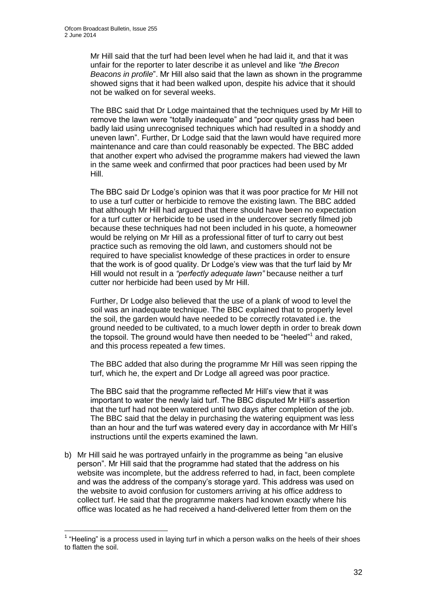1

Mr Hill said that the turf had been level when he had laid it, and that it was unfair for the reporter to later describe it as unlevel and like *"the Brecon Beacons in profile*". Mr Hill also said that the lawn as shown in the programme showed signs that it had been walked upon, despite his advice that it should not be walked on for several weeks.

The BBC said that Dr Lodge maintained that the techniques used by Mr Hill to remove the lawn were "totally inadequate" and "poor quality grass had been badly laid using unrecognised techniques which had resulted in a shoddy and uneven lawn". Further, Dr Lodge said that the lawn would have required more maintenance and care than could reasonably be expected. The BBC added that another expert who advised the programme makers had viewed the lawn in the same week and confirmed that poor practices had been used by Mr Hill.

The BBC said Dr Lodge's opinion was that it was poor practice for Mr Hill not to use a turf cutter or herbicide to remove the existing lawn. The BBC added that although Mr Hill had argued that there should have been no expectation for a turf cutter or herbicide to be used in the undercover secretly filmed job because these techniques had not been included in his quote, a homeowner would be relying on Mr Hill as a professional fitter of turf to carry out best practice such as removing the old lawn, and customers should not be required to have specialist knowledge of these practices in order to ensure that the work is of good quality. Dr Lodge's view was that the turf laid by Mr Hill would not result in a *"perfectly adequate lawn"* because neither a turf cutter nor herbicide had been used by Mr Hill.

Further, Dr Lodge also believed that the use of a plank of wood to level the soil was an inadequate technique. The BBC explained that to properly level the soil, the garden would have needed to be correctly rotavated i.e. the ground needed to be cultivated, to a much lower depth in order to break down the topsoil. The ground would have then needed to be "heeled"<sup>1</sup> and raked, and this process repeated a few times.

The BBC added that also during the programme Mr Hill was seen ripping the turf, which he, the expert and Dr Lodge all agreed was poor practice.

The BBC said that the programme reflected Mr Hill's view that it was important to water the newly laid turf. The BBC disputed Mr Hill's assertion that the turf had not been watered until two days after completion of the job. The BBC said that the delay in purchasing the watering equipment was less than an hour and the turf was watered every day in accordance with Mr Hill's instructions until the experts examined the lawn.

b) Mr Hill said he was portrayed unfairly in the programme as being "an elusive person". Mr Hill said that the programme had stated that the address on his website was incomplete, but the address referred to had, in fact, been complete and was the address of the company's storage yard. This address was used on the website to avoid confusion for customers arriving at his office address to collect turf. He said that the programme makers had known exactly where his office was located as he had received a hand-delivered letter from them on the

 $1$  "Heeling" is a process used in laying turf in which a person walks on the heels of their shoes to flatten the soil.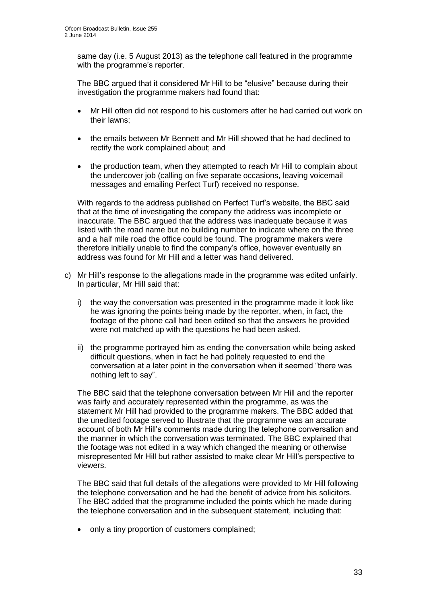same day (i.e. 5 August 2013) as the telephone call featured in the programme with the programme's reporter.

The BBC argued that it considered Mr Hill to be "elusive" because during their investigation the programme makers had found that:

- Mr Hill often did not respond to his customers after he had carried out work on their lawns;
- the emails between Mr Bennett and Mr Hill showed that he had declined to rectify the work complained about; and
- the production team, when they attempted to reach Mr Hill to complain about the undercover job (calling on five separate occasions, leaving voicemail messages and emailing Perfect Turf) received no response.

With regards to the address published on Perfect Turf's website, the BBC said that at the time of investigating the company the address was incomplete or inaccurate. The BBC argued that the address was inadequate because it was listed with the road name but no building number to indicate where on the three and a half mile road the office could be found. The programme makers were therefore initially unable to find the company's office, however eventually an address was found for Mr Hill and a letter was hand delivered.

- c) Mr Hill's response to the allegations made in the programme was edited unfairly. In particular, Mr Hill said that:
	- i) the way the conversation was presented in the programme made it look like he was ignoring the points being made by the reporter, when, in fact, the footage of the phone call had been edited so that the answers he provided were not matched up with the questions he had been asked.
	- ii) the programme portrayed him as ending the conversation while being asked difficult questions, when in fact he had politely requested to end the conversation at a later point in the conversation when it seemed "there was nothing left to say".

The BBC said that the telephone conversation between Mr Hill and the reporter was fairly and accurately represented within the programme, as was the statement Mr Hill had provided to the programme makers. The BBC added that the unedited footage served to illustrate that the programme was an accurate account of both Mr Hill's comments made during the telephone conversation and the manner in which the conversation was terminated. The BBC explained that the footage was not edited in a way which changed the meaning or otherwise misrepresented Mr Hill but rather assisted to make clear Mr Hill's perspective to viewers.

The BBC said that full details of the allegations were provided to Mr Hill following the telephone conversation and he had the benefit of advice from his solicitors. The BBC added that the programme included the points which he made during the telephone conversation and in the subsequent statement, including that:

• only a tiny proportion of customers complained;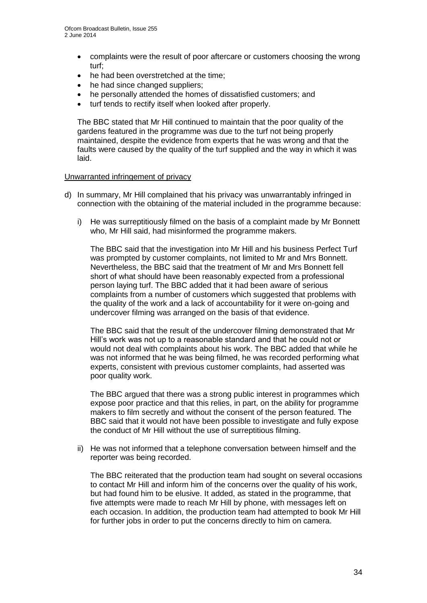- complaints were the result of poor aftercare or customers choosing the wrong turf;
- he had been overstretched at the time:
- he had since changed suppliers;
- he personally attended the homes of dissatisfied customers; and
- turf tends to rectify itself when looked after properly.

The BBC stated that Mr Hill continued to maintain that the poor quality of the gardens featured in the programme was due to the turf not being properly maintained, despite the evidence from experts that he was wrong and that the faults were caused by the quality of the turf supplied and the way in which it was laid.

## Unwarranted infringement of privacy

- d) In summary, Mr Hill complained that his privacy was unwarrantably infringed in connection with the obtaining of the material included in the programme because:
	- i) He was surreptitiously filmed on the basis of a complaint made by Mr Bonnett who, Mr Hill said, had misinformed the programme makers.

The BBC said that the investigation into Mr Hill and his business Perfect Turf was prompted by customer complaints, not limited to Mr and Mrs Bonnett. Nevertheless, the BBC said that the treatment of Mr and Mrs Bonnett fell short of what should have been reasonably expected from a professional person laying turf. The BBC added that it had been aware of serious complaints from a number of customers which suggested that problems with the quality of the work and a lack of accountability for it were on-going and undercover filming was arranged on the basis of that evidence.

The BBC said that the result of the undercover filming demonstrated that Mr Hill's work was not up to a reasonable standard and that he could not or would not deal with complaints about his work. The BBC added that while he was not informed that he was being filmed, he was recorded performing what experts, consistent with previous customer complaints, had asserted was poor quality work.

The BBC argued that there was a strong public interest in programmes which expose poor practice and that this relies, in part, on the ability for programme makers to film secretly and without the consent of the person featured. The BBC said that it would not have been possible to investigate and fully expose the conduct of Mr Hill without the use of surreptitious filming.

ii) He was not informed that a telephone conversation between himself and the reporter was being recorded.

The BBC reiterated that the production team had sought on several occasions to contact Mr Hill and inform him of the concerns over the quality of his work, but had found him to be elusive. It added, as stated in the programme, that five attempts were made to reach Mr Hill by phone, with messages left on each occasion. In addition, the production team had attempted to book Mr Hill for further jobs in order to put the concerns directly to him on camera.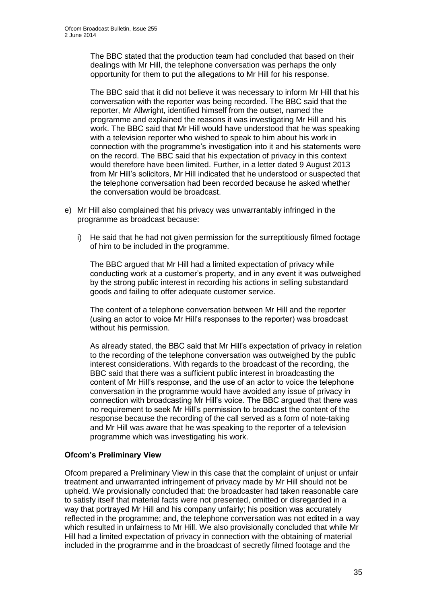The BBC stated that the production team had concluded that based on their dealings with Mr Hill, the telephone conversation was perhaps the only opportunity for them to put the allegations to Mr Hill for his response.

The BBC said that it did not believe it was necessary to inform Mr Hill that his conversation with the reporter was being recorded. The BBC said that the reporter, Mr Allwright, identified himself from the outset, named the programme and explained the reasons it was investigating Mr Hill and his work. The BBC said that Mr Hill would have understood that he was speaking with a television reporter who wished to speak to him about his work in connection with the programme's investigation into it and his statements were on the record. The BBC said that his expectation of privacy in this context would therefore have been limited. Further, in a letter dated 9 August 2013 from Mr Hill's solicitors, Mr Hill indicated that he understood or suspected that the telephone conversation had been recorded because he asked whether the conversation would be broadcast.

- e) Mr Hill also complained that his privacy was unwarrantably infringed in the programme as broadcast because:
	- i) He said that he had not given permission for the surreptitiously filmed footage of him to be included in the programme.

The BBC argued that Mr Hill had a limited expectation of privacy while conducting work at a customer's property, and in any event it was outweighed by the strong public interest in recording his actions in selling substandard goods and failing to offer adequate customer service.

The content of a telephone conversation between Mr Hill and the reporter (using an actor to voice Mr Hill's responses to the reporter) was broadcast without his permission.

As already stated, the BBC said that Mr Hill's expectation of privacy in relation to the recording of the telephone conversation was outweighed by the public interest considerations. With regards to the broadcast of the recording, the BBC said that there was a sufficient public interest in broadcasting the content of Mr Hill's response, and the use of an actor to voice the telephone conversation in the programme would have avoided any issue of privacy in connection with broadcasting Mr Hill's voice. The BBC argued that there was no requirement to seek Mr Hill's permission to broadcast the content of the response because the recording of the call served as a form of note-taking and Mr Hill was aware that he was speaking to the reporter of a television programme which was investigating his work.

## **Ofcom's Preliminary View**

Ofcom prepared a Preliminary View in this case that the complaint of unjust or unfair treatment and unwarranted infringement of privacy made by Mr Hill should not be upheld. We provisionally concluded that: the broadcaster had taken reasonable care to satisfy itself that material facts were not presented, omitted or disregarded in a way that portrayed Mr Hill and his company unfairly; his position was accurately reflected in the programme; and, the telephone conversation was not edited in a way which resulted in unfairness to Mr Hill. We also provisionally concluded that while Mr Hill had a limited expectation of privacy in connection with the obtaining of material included in the programme and in the broadcast of secretly filmed footage and the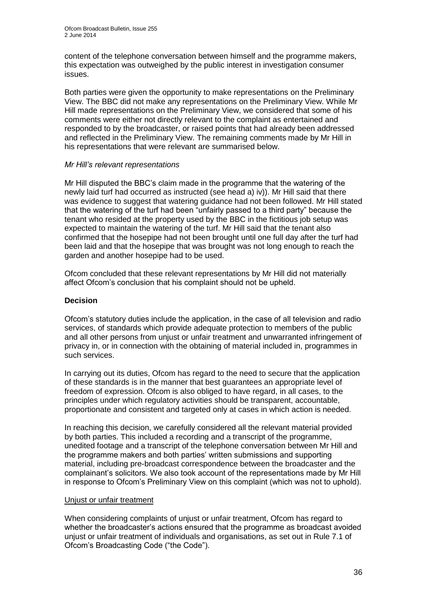content of the telephone conversation between himself and the programme makers, this expectation was outweighed by the public interest in investigation consumer issues.

Both parties were given the opportunity to make representations on the Preliminary View. The BBC did not make any representations on the Preliminary View. While Mr Hill made representations on the Preliminary View, we considered that some of his comments were either not directly relevant to the complaint as entertained and responded to by the broadcaster, or raised points that had already been addressed and reflected in the Preliminary View. The remaining comments made by Mr Hill in his representations that were relevant are summarised below.

## *Mr Hill's relevant representations*

Mr Hill disputed the BBC's claim made in the programme that the watering of the newly laid turf had occurred as instructed (see head a) iv)). Mr Hill said that there was evidence to suggest that watering guidance had not been followed. Mr Hill stated that the watering of the turf had been "unfairly passed to a third party" because the tenant who resided at the property used by the BBC in the fictitious job setup was expected to maintain the watering of the turf. Mr Hill said that the tenant also confirmed that the hosepipe had not been brought until one full day after the turf had been laid and that the hosepipe that was brought was not long enough to reach the garden and another hosepipe had to be used.

Ofcom concluded that these relevant representations by Mr Hill did not materially affect Ofcom's conclusion that his complaint should not be upheld.

## **Decision**

Ofcom's statutory duties include the application, in the case of all television and radio services, of standards which provide adequate protection to members of the public and all other persons from unjust or unfair treatment and unwarranted infringement of privacy in, or in connection with the obtaining of material included in, programmes in such services.

In carrying out its duties, Ofcom has regard to the need to secure that the application of these standards is in the manner that best guarantees an appropriate level of freedom of expression. Ofcom is also obliged to have regard, in all cases, to the principles under which regulatory activities should be transparent, accountable, proportionate and consistent and targeted only at cases in which action is needed.

In reaching this decision, we carefully considered all the relevant material provided by both parties. This included a recording and a transcript of the programme, unedited footage and a transcript of the telephone conversation between Mr Hill and the programme makers and both parties' written submissions and supporting material, including pre-broadcast correspondence between the broadcaster and the complainant's solicitors. We also took account of the representations made by Mr Hill in response to Ofcom's Preliminary View on this complaint (which was not to uphold).

#### Unjust or unfair treatment

When considering complaints of unjust or unfair treatment, Ofcom has regard to whether the broadcaster's actions ensured that the programme as broadcast avoided unjust or unfair treatment of individuals and organisations, as set out in Rule 7.1 of Ofcom's Broadcasting Code ("the Code").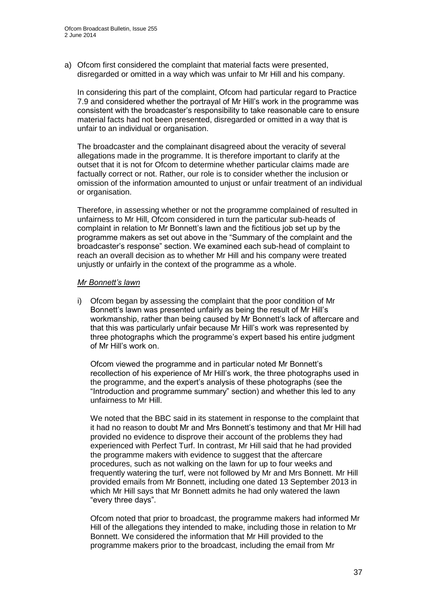a) Ofcom first considered the complaint that material facts were presented, disregarded or omitted in a way which was unfair to Mr Hill and his company.

In considering this part of the complaint, Ofcom had particular regard to Practice 7.9 and considered whether the portrayal of Mr Hill's work in the programme was consistent with the broadcaster's responsibility to take reasonable care to ensure material facts had not been presented, disregarded or omitted in a way that is unfair to an individual or organisation.

The broadcaster and the complainant disagreed about the veracity of several allegations made in the programme. It is therefore important to clarify at the outset that it is not for Ofcom to determine whether particular claims made are factually correct or not. Rather, our role is to consider whether the inclusion or omission of the information amounted to unjust or unfair treatment of an individual or organisation.

Therefore, in assessing whether or not the programme complained of resulted in unfairness to Mr Hill, Ofcom considered in turn the particular sub-heads of complaint in relation to Mr Bonnett's lawn and the fictitious job set up by the programme makers as set out above in the "Summary of the complaint and the broadcaster's response" section. We examined each sub-head of complaint to reach an overall decision as to whether Mr Hill and his company were treated unjustly or unfairly in the context of the programme as a whole.

## *Mr Bonnett's lawn*

i) Ofcom began by assessing the complaint that the poor condition of Mr Bonnett's lawn was presented unfairly as being the result of Mr Hill's workmanship, rather than being caused by Mr Bonnett's lack of aftercare and that this was particularly unfair because Mr Hill's work was represented by three photographs which the programme's expert based his entire judgment of Mr Hill's work on.

Ofcom viewed the programme and in particular noted Mr Bonnett's recollection of his experience of Mr Hill's work, the three photographs used in the programme, and the expert's analysis of these photographs (see the "Introduction and programme summary" section) and whether this led to any unfairness to Mr Hill.

We noted that the BBC said in its statement in response to the complaint that it had no reason to doubt Mr and Mrs Bonnett's testimony and that Mr Hill had provided no evidence to disprove their account of the problems they had experienced with Perfect Turf. In contrast, Mr Hill said that he had provided the programme makers with evidence to suggest that the aftercare procedures, such as not walking on the lawn for up to four weeks and frequently watering the turf, were not followed by Mr and Mrs Bonnett. Mr Hill provided emails from Mr Bonnett, including one dated 13 September 2013 in which Mr Hill says that Mr Bonnett admits he had only watered the lawn "every three days".

Ofcom noted that prior to broadcast, the programme makers had informed Mr Hill of the allegations they intended to make, including those in relation to Mr Bonnett. We considered the information that Mr Hill provided to the programme makers prior to the broadcast, including the email from Mr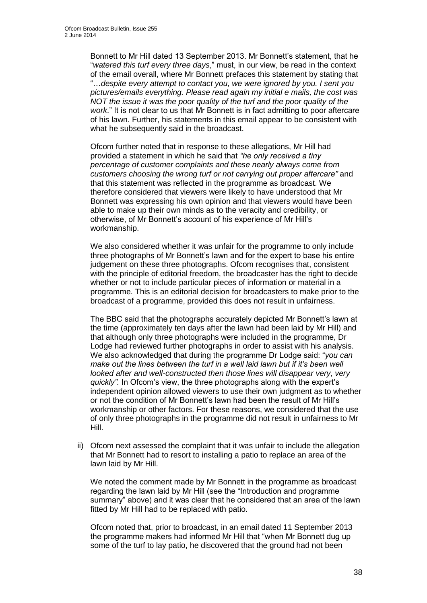Bonnett to Mr Hill dated 13 September 2013. Mr Bonnett's statement, that he "*watered this turf every three days*," must, in our view, be read in the context of the email overall, where Mr Bonnett prefaces this statement by stating that "…*despite every attempt to contact you, we were ignored by you. I sent you pictures/emails everything. Please read again my initial e mails, the cost was NOT the issue it was the poor quality of the turf and the poor quality of the work*." It is not clear to us that Mr Bonnett is in fact admitting to poor aftercare of his lawn. Further, his statements in this email appear to be consistent with what he subsequently said in the broadcast.

Ofcom further noted that in response to these allegations, Mr Hill had provided a statement in which he said that *"he only received a tiny percentage of customer complaints and these nearly always come from customers choosing the wrong turf or not carrying out proper aftercare"* and that this statement was reflected in the programme as broadcast. We therefore considered that viewers were likely to have understood that Mr Bonnett was expressing his own opinion and that viewers would have been able to make up their own minds as to the veracity and credibility, or otherwise, of Mr Bonnett's account of his experience of Mr Hill's workmanship.

We also considered whether it was unfair for the programme to only include three photographs of Mr Bonnett's lawn and for the expert to base his entire judgement on these three photographs. Ofcom recognises that, consistent with the principle of editorial freedom, the broadcaster has the right to decide whether or not to include particular pieces of information or material in a programme. This is an editorial decision for broadcasters to make prior to the broadcast of a programme, provided this does not result in unfairness.

The BBC said that the photographs accurately depicted Mr Bonnett's lawn at the time (approximately ten days after the lawn had been laid by Mr Hill) and that although only three photographs were included in the programme, Dr Lodge had reviewed further photographs in order to assist with his analysis. We also acknowledged that during the programme Dr Lodge said: "*you can*  make out the lines between the turf in a well laid lawn but if it's been well looked after and well-constructed then those lines will disappear very, very *quickly".* In Ofcom's view, the three photographs along with the expert's independent opinion allowed viewers to use their own judgment as to whether or not the condition of Mr Bonnett's lawn had been the result of Mr Hill's workmanship or other factors. For these reasons, we considered that the use of only three photographs in the programme did not result in unfairness to Mr Hill.

ii) Ofcom next assessed the complaint that it was unfair to include the allegation that Mr Bonnett had to resort to installing a patio to replace an area of the lawn laid by Mr Hill.

We noted the comment made by Mr Bonnett in the programme as broadcast regarding the lawn laid by Mr Hill (see the "Introduction and programme summary" above) and it was clear that he considered that an area of the lawn fitted by Mr Hill had to be replaced with patio.

Ofcom noted that, prior to broadcast, in an email dated 11 September 2013 the programme makers had informed Mr Hill that "when Mr Bonnett dug up some of the turf to lay patio, he discovered that the ground had not been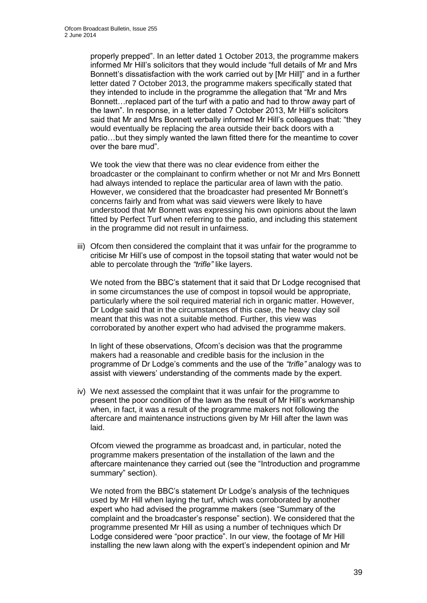properly prepped". In an letter dated 1 October 2013, the programme makers informed Mr Hill's solicitors that they would include "full details of Mr and Mrs Bonnett's dissatisfaction with the work carried out by [Mr Hill]" and in a further letter dated 7 October 2013, the programme makers specifically stated that they intended to include in the programme the allegation that "Mr and Mrs Bonnett…replaced part of the turf with a patio and had to throw away part of the lawn". In response, in a letter dated 7 October 2013, Mr Hill's solicitors said that Mr and Mrs Bonnett verbally informed Mr Hill's colleagues that: "they would eventually be replacing the area outside their back doors with a patio…but they simply wanted the lawn fitted there for the meantime to cover over the bare mud".

We took the view that there was no clear evidence from either the broadcaster or the complainant to confirm whether or not Mr and Mrs Bonnett had always intended to replace the particular area of lawn with the patio. However, we considered that the broadcaster had presented Mr Bonnett's concerns fairly and from what was said viewers were likely to have understood that Mr Bonnett was expressing his own opinions about the lawn fitted by Perfect Turf when referring to the patio, and including this statement in the programme did not result in unfairness.

iii) Ofcom then considered the complaint that it was unfair for the programme to criticise Mr Hill's use of compost in the topsoil stating that water would not be able to percolate through the *"trifle"* like layers.

We noted from the BBC's statement that it said that Dr Lodge recognised that in some circumstances the use of compost in topsoil would be appropriate, particularly where the soil required material rich in organic matter. However, Dr Lodge said that in the circumstances of this case, the heavy clay soil meant that this was not a suitable method. Further, this view was corroborated by another expert who had advised the programme makers.

In light of these observations, Ofcom's decision was that the programme makers had a reasonable and credible basis for the inclusion in the programme of Dr Lodge's comments and the use of the *"trifle"* analogy was to assist with viewers' understanding of the comments made by the expert.

iv) We next assessed the complaint that it was unfair for the programme to present the poor condition of the lawn as the result of Mr Hill's workmanship when, in fact, it was a result of the programme makers not following the aftercare and maintenance instructions given by Mr Hill after the lawn was laid.

Ofcom viewed the programme as broadcast and, in particular, noted the programme makers presentation of the installation of the lawn and the aftercare maintenance they carried out (see the "Introduction and programme summary" section).

We noted from the BBC's statement Dr Lodge's analysis of the techniques used by Mr Hill when laying the turf, which was corroborated by another expert who had advised the programme makers (see "Summary of the complaint and the broadcaster's response" section). We considered that the programme presented Mr Hill as using a number of techniques which Dr Lodge considered were "poor practice". In our view, the footage of Mr Hill installing the new lawn along with the expert's independent opinion and Mr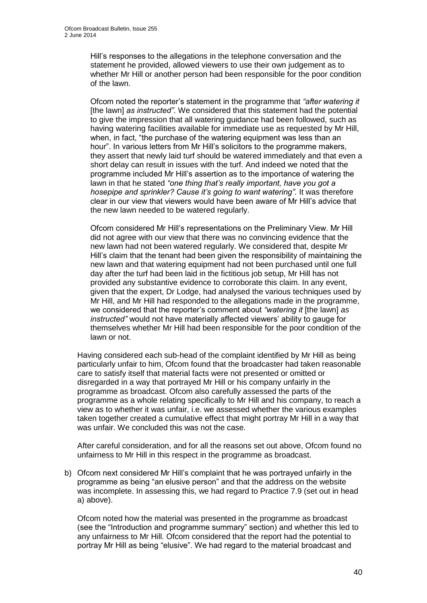Hill's responses to the allegations in the telephone conversation and the statement he provided, allowed viewers to use their own judgement as to whether Mr Hill or another person had been responsible for the poor condition of the lawn.

Ofcom noted the reporter's statement in the programme that *"after watering it*  [the lawn] *as instructed"*. We considered that this statement had the potential to give the impression that all watering guidance had been followed, such as having watering facilities available for immediate use as requested by Mr Hill, when, in fact, "the purchase of the watering equipment was less than an hour". In various letters from Mr Hill's solicitors to the programme makers, they assert that newly laid turf should be watered immediately and that even a short delay can result in issues with the turf. And indeed we noted that the programme included Mr Hill's assertion as to the importance of watering the lawn in that he stated *"one thing that's really important, have you got a hosepipe and sprinkler? Cause it's going to want watering".* It was therefore clear in our view that viewers would have been aware of Mr Hill's advice that the new lawn needed to be watered regularly.

Ofcom considered Mr Hill's representations on the Preliminary View. Mr Hill did not agree with our view that there was no convincing evidence that the new lawn had not been watered regularly. We considered that, despite Mr Hill's claim that the tenant had been given the responsibility of maintaining the new lawn and that watering equipment had not been purchased until one full day after the turf had been laid in the fictitious job setup, Mr Hill has not provided any substantive evidence to corroborate this claim. In any event, given that the expert, Dr Lodge, had analysed the various techniques used by Mr Hill, and Mr Hill had responded to the allegations made in the programme, we considered that the reporter's comment about *"watering it* [the lawn] *as instructed"* would not have materially affected viewers' ability to gauge for themselves whether Mr Hill had been responsible for the poor condition of the lawn or not.

Having considered each sub-head of the complaint identified by Mr Hill as being particularly unfair to him, Ofcom found that the broadcaster had taken reasonable care to satisfy itself that material facts were not presented or omitted or disregarded in a way that portrayed Mr Hill or his company unfairly in the programme as broadcast. Ofcom also carefully assessed the parts of the programme as a whole relating specifically to Mr Hill and his company, to reach a view as to whether it was unfair, i.e. we assessed whether the various examples taken together created a cumulative effect that might portray Mr Hill in a way that was unfair. We concluded this was not the case.

After careful consideration, and for all the reasons set out above, Ofcom found no unfairness to Mr Hill in this respect in the programme as broadcast.

b) Ofcom next considered Mr Hill's complaint that he was portrayed unfairly in the programme as being "an elusive person" and that the address on the website was incomplete. In assessing this, we had regard to Practice 7.9 (set out in head a) above).

Ofcom noted how the material was presented in the programme as broadcast (see the "Introduction and programme summary" section) and whether this led to any unfairness to Mr Hill. Ofcom considered that the report had the potential to portray Mr Hill as being "elusive". We had regard to the material broadcast and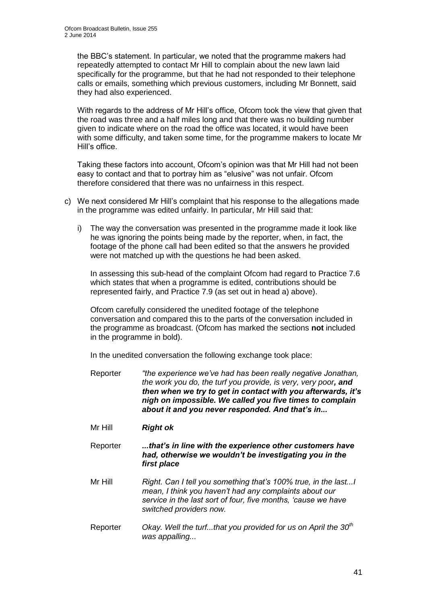the BBC's statement. In particular, we noted that the programme makers had repeatedly attempted to contact Mr Hill to complain about the new lawn laid specifically for the programme, but that he had not responded to their telephone calls or emails, something which previous customers, including Mr Bonnett, said they had also experienced.

With regards to the address of Mr Hill's office, Ofcom took the view that given that the road was three and a half miles long and that there was no building number given to indicate where on the road the office was located, it would have been with some difficulty, and taken some time, for the programme makers to locate Mr Hill's office.

Taking these factors into account, Ofcom's opinion was that Mr Hill had not been easy to contact and that to portray him as "elusive" was not unfair. Ofcom therefore considered that there was no unfairness in this respect.

- c) We next considered Mr Hill's complaint that his response to the allegations made in the programme was edited unfairly. In particular, Mr Hill said that:
	- i) The way the conversation was presented in the programme made it look like he was ignoring the points being made by the reporter, when, in fact, the footage of the phone call had been edited so that the answers he provided were not matched up with the questions he had been asked.

In assessing this sub-head of the complaint Ofcom had regard to Practice 7.6 which states that when a programme is edited, contributions should be represented fairly, and Practice 7.9 (as set out in head a) above).

Ofcom carefully considered the unedited footage of the telephone conversation and compared this to the parts of the conversation included in the programme as broadcast. (Ofcom has marked the sections **not** included in the programme in bold).

In the unedited conversation the following exchange took place:

- Reporter *"the experience we've had has been really negative Jonathan, the work you do, the turf you provide, is very, very poor, and then when we try to get in contact with you afterwards, it's nigh on impossible. We called you five times to complain about it and you never responded. And that's in...*
- Mr Hill *Right ok*

Reporter *...that's in line with the experience other customers have had, otherwise we wouldn't be investigating you in the first place*

- Mr Hill *Right. Can I tell you something that's 100% true, in the last...I mean, I think you haven't had any complaints about our service in the last sort of four, five months, 'cause we have switched providers now.*
- Reporter *Okay. Well the turf...that you provided for us on April the 30th was appalling...*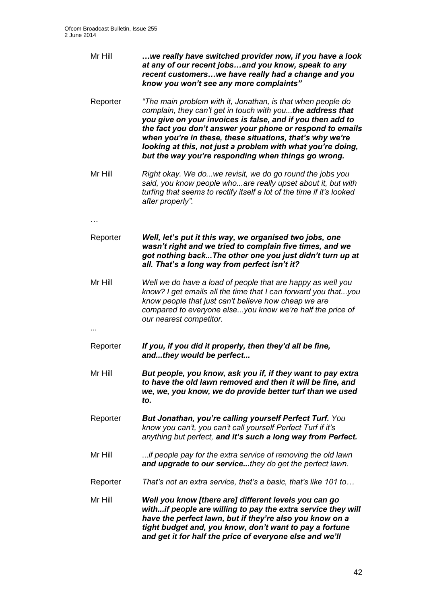| Mr Hill  | we really have switched provider now, if you have a look<br>at any of our recent jobsand you know, speak to any<br>recent customerswe have really had a change and you<br>know you won't see any more complaints"                                                                                                                                                                                                                       |
|----------|-----------------------------------------------------------------------------------------------------------------------------------------------------------------------------------------------------------------------------------------------------------------------------------------------------------------------------------------------------------------------------------------------------------------------------------------|
| Reporter | "The main problem with it, Jonathan, is that when people do<br>complain, they can't get in touch with you the address that<br>you give on your invoices is false, and if you then add to<br>the fact you don't answer your phone or respond to emails<br>when you're in these, these situations, that's why we're<br>looking at this, not just a problem with what you're doing,<br>but the way you're responding when things go wrong. |
| Mr Hill  | Right okay. We dowe revisit, we do go round the jobs you<br>said, you know people whoare really upset about it, but with<br>turfing that seems to rectify itself a lot of the time if it's looked<br>after properly".                                                                                                                                                                                                                   |
|          |                                                                                                                                                                                                                                                                                                                                                                                                                                         |
| Reporter | Well, let's put it this way, we organised two jobs, one<br>wasn't right and we tried to complain five times, and we<br>got nothing back The other one you just didn't turn up at<br>all. That's a long way from perfect isn't it?                                                                                                                                                                                                       |
| Mr Hill  | Well we do have a load of people that are happy as well you<br>know? I get emails all the time that I can forward you thatyou<br>know people that just can't believe how cheap we are<br>compared to everyone elseyou know we're half the price of<br>our nearest competitor.                                                                                                                                                           |
| Reporter | If you, if you did it properly, then they'd all be fine,<br>andthey would be perfect                                                                                                                                                                                                                                                                                                                                                    |
| Mr Hill  | But people, you know, ask you if, if they want to pay extra<br>to have the old lawn removed and then it will be fine, and<br>we, we, you know, we do provide better turf than we used<br>to.                                                                                                                                                                                                                                            |
| Reporter | But Jonathan, you're calling yourself Perfect Turf. You<br>know you can't, you can't call yourself Perfect Turf if it's<br>anything but perfect, and it's such a long way from Perfect.                                                                                                                                                                                                                                                 |
| Mr Hill  | if people pay for the extra service of removing the old lawn<br>and upgrade to our servicethey do get the perfect lawn.                                                                                                                                                                                                                                                                                                                 |
| Reporter | That's not an extra service, that's a basic, that's like 101 to                                                                                                                                                                                                                                                                                                                                                                         |
| Mr Hill  | Well you know [there are] different levels you can go<br>withif people are willing to pay the extra service they will<br>have the perfect lawn, but if they're also you know on a<br>tight budget and, you know, don't want to pay a fortune<br>and get it for half the price of everyone else and we'll                                                                                                                                |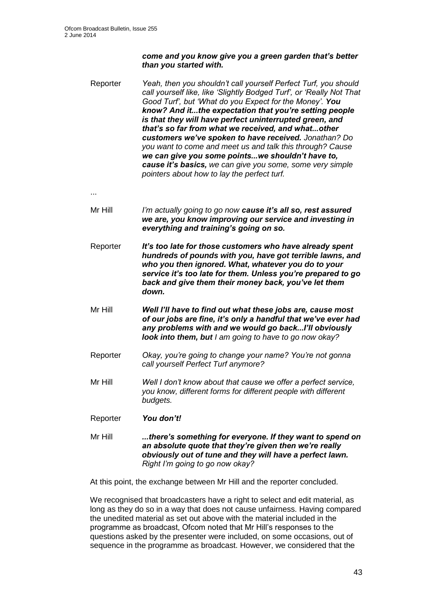## *come and you know give you a green garden that's better than you started with.*

- Reporter *Yeah, then you shouldn't call yourself Perfect Turf, you should call yourself like, like 'Slightly Bodged Turf', or 'Really Not That Good Turf', but 'What do you Expect for the Money'. You know? And it...the expectation that you're setting people is that they will have perfect uninterrupted green, and that's so far from what we received, and what...other customers we've spoken to have received. Jonathan? Do you want to come and meet us and talk this through? Cause we can give you some points...we shouldn't have to, cause it's basics, we can give you some, some very simple pointers about how to lay the perfect turf.*
- ...
- Mr Hill *I'm actually going to go now cause it's all so, rest assured we are, you know improving our service and investing in everything and training's going on so.*
- Reporter *It's too late for those customers who have already spent hundreds of pounds with you, have got terrible lawns, and who you then ignored. What, whatever you do to your service it's too late for them. Unless you're prepared to go back and give them their money back, you've let them down.*
- Mr Hill *Well I'll have to find out what these jobs are, cause most of our jobs are fine, it's only a handful that we've ever had any problems with and we would go back...I'll obviously look into them, but I am going to have to go now okay?*
- Reporter *Okay, you're going to change your name? You're not gonna call yourself Perfect Turf anymore?*
- Mr Hill *Well I don't know about that cause we offer a perfect service, you know, different forms for different people with different budgets.*
- Reporter *You don't!*
- Mr Hill *...there's something for everyone. If they want to spend on an absolute quote that they're given then we're really obviously out of tune and they will have a perfect lawn. Right I'm going to go now okay?*

At this point, the exchange between Mr Hill and the reporter concluded.

We recognised that broadcasters have a right to select and edit material, as long as they do so in a way that does not cause unfairness. Having compared the unedited material as set out above with the material included in the programme as broadcast, Ofcom noted that Mr Hill's responses to the questions asked by the presenter were included, on some occasions, out of sequence in the programme as broadcast. However, we considered that the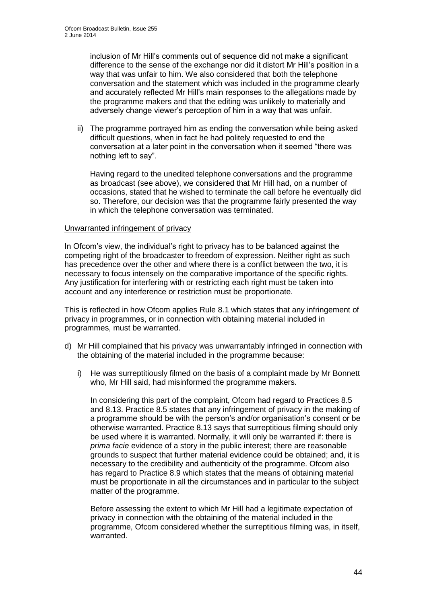inclusion of Mr Hill's comments out of sequence did not make a significant difference to the sense of the exchange nor did it distort Mr Hill's position in a way that was unfair to him. We also considered that both the telephone conversation and the statement which was included in the programme clearly and accurately reflected Mr Hill's main responses to the allegations made by the programme makers and that the editing was unlikely to materially and adversely change viewer's perception of him in a way that was unfair.

ii) The programme portrayed him as ending the conversation while being asked difficult questions, when in fact he had politely requested to end the conversation at a later point in the conversation when it seemed "there was nothing left to say".

Having regard to the unedited telephone conversations and the programme as broadcast (see above), we considered that Mr Hill had, on a number of occasions, stated that he wished to terminate the call before he eventually did so. Therefore, our decision was that the programme fairly presented the way in which the telephone conversation was terminated.

#### Unwarranted infringement of privacy

In Ofcom's view, the individual's right to privacy has to be balanced against the competing right of the broadcaster to freedom of expression. Neither right as such has precedence over the other and where there is a conflict between the two, it is necessary to focus intensely on the comparative importance of the specific rights. Any justification for interfering with or restricting each right must be taken into account and any interference or restriction must be proportionate.

This is reflected in how Ofcom applies Rule 8.1 which states that any infringement of privacy in programmes, or in connection with obtaining material included in programmes, must be warranted.

- d) Mr Hill complained that his privacy was unwarrantably infringed in connection with the obtaining of the material included in the programme because:
	- i) He was surreptitiously filmed on the basis of a complaint made by Mr Bonnett who, Mr Hill said, had misinformed the programme makers.

In considering this part of the complaint, Ofcom had regard to Practices 8.5 and 8.13. Practice 8.5 states that any infringement of privacy in the making of a programme should be with the person's and/or organisation's consent or be otherwise warranted. Practice 8.13 says that surreptitious filming should only be used where it is warranted. Normally, it will only be warranted if: there is *prima facie* evidence of a story in the public interest; there are reasonable grounds to suspect that further material evidence could be obtained; and, it is necessary to the credibility and authenticity of the programme. Ofcom also has regard to Practice 8.9 which states that the means of obtaining material must be proportionate in all the circumstances and in particular to the subject matter of the programme.

Before assessing the extent to which Mr Hill had a legitimate expectation of privacy in connection with the obtaining of the material included in the programme, Ofcom considered whether the surreptitious filming was, in itself, warranted.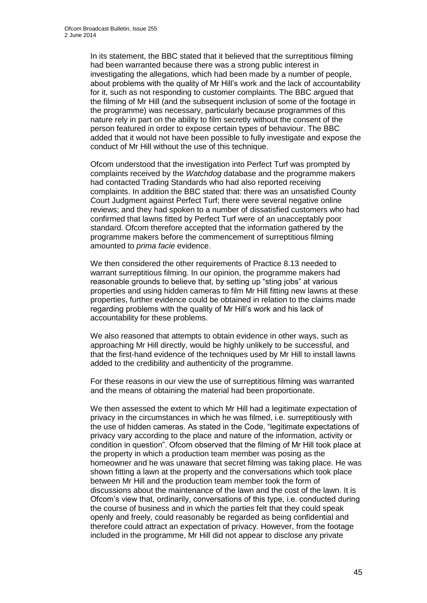In its statement, the BBC stated that it believed that the surreptitious filming had been warranted because there was a strong public interest in investigating the allegations, which had been made by a number of people, about problems with the quality of Mr Hill's work and the lack of accountability for it, such as not responding to customer complaints. The BBC argued that the filming of Mr Hill (and the subsequent inclusion of some of the footage in the programme) was necessary, particularly because programmes of this nature rely in part on the ability to film secretly without the consent of the person featured in order to expose certain types of behaviour. The BBC added that it would not have been possible to fully investigate and expose the conduct of Mr Hill without the use of this technique.

Ofcom understood that the investigation into Perfect Turf was prompted by complaints received by the *Watchdog* database and the programme makers had contacted Trading Standards who had also reported receiving complaints. In addition the BBC stated that: there was an unsatisfied County Court Judgment against Perfect Turf; there were several negative online reviews; and they had spoken to a number of dissatisfied customers who had confirmed that lawns fitted by Perfect Turf were of an unacceptably poor standard. Ofcom therefore accepted that the information gathered by the programme makers before the commencement of surreptitious filming amounted to *prima facie* evidence.

We then considered the other requirements of Practice 8.13 needed to warrant surreptitious filming. In our opinion, the programme makers had reasonable grounds to believe that, by setting up "sting jobs" at various properties and using hidden cameras to film Mr Hill fitting new lawns at these properties, further evidence could be obtained in relation to the claims made regarding problems with the quality of Mr Hill's work and his lack of accountability for these problems.

We also reasoned that attempts to obtain evidence in other ways, such as approaching Mr Hill directly, would be highly unlikely to be successful, and that the first-hand evidence of the techniques used by Mr Hill to install lawns added to the credibility and authenticity of the programme.

For these reasons in our view the use of surreptitious filming was warranted and the means of obtaining the material had been proportionate.

We then assessed the extent to which Mr Hill had a legitimate expectation of privacy in the circumstances in which he was filmed, i.e. surreptitiously with the use of hidden cameras. As stated in the Code, "legitimate expectations of privacy vary according to the place and nature of the information, activity or condition in question". Ofcom observed that the filming of Mr Hill took place at the property in which a production team member was posing as the homeowner and he was unaware that secret filming was taking place. He was shown fitting a lawn at the property and the conversations which took place between Mr Hill and the production team member took the form of discussions about the maintenance of the lawn and the cost of the lawn. It is Ofcom's view that, ordinarily, conversations of this type, i.e. conducted during the course of business and in which the parties felt that they could speak openly and freely, could reasonably be regarded as being confidential and therefore could attract an expectation of privacy. However, from the footage included in the programme, Mr Hill did not appear to disclose any private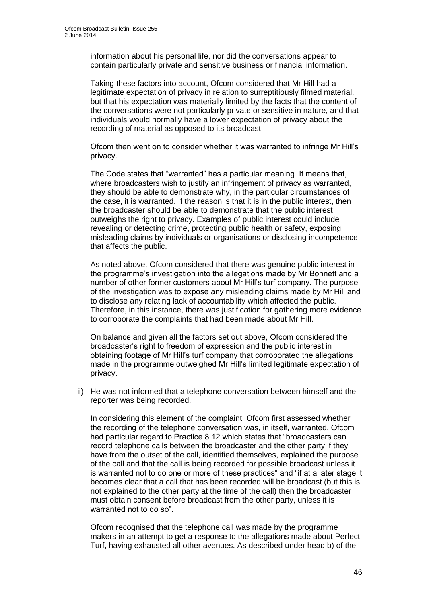information about his personal life, nor did the conversations appear to contain particularly private and sensitive business or financial information.

Taking these factors into account, Ofcom considered that Mr Hill had a legitimate expectation of privacy in relation to surreptitiously filmed material, but that his expectation was materially limited by the facts that the content of the conversations were not particularly private or sensitive in nature, and that individuals would normally have a lower expectation of privacy about the recording of material as opposed to its broadcast.

Ofcom then went on to consider whether it was warranted to infringe Mr Hill's privacy.

The Code states that "warranted" has a particular meaning. It means that, where broadcasters wish to justify an infringement of privacy as warranted, they should be able to demonstrate why, in the particular circumstances of the case, it is warranted. If the reason is that it is in the public interest, then the broadcaster should be able to demonstrate that the public interest outweighs the right to privacy. Examples of public interest could include revealing or detecting crime, protecting public health or safety, exposing misleading claims by individuals or organisations or disclosing incompetence that affects the public.

As noted above, Ofcom considered that there was genuine public interest in the programme's investigation into the allegations made by Mr Bonnett and a number of other former customers about Mr Hill's turf company. The purpose of the investigation was to expose any misleading claims made by Mr Hill and to disclose any relating lack of accountability which affected the public. Therefore, in this instance, there was justification for gathering more evidence to corroborate the complaints that had been made about Mr Hill.

On balance and given all the factors set out above, Ofcom considered the broadcaster's right to freedom of expression and the public interest in obtaining footage of Mr Hill's turf company that corroborated the allegations made in the programme outweighed Mr Hill's limited legitimate expectation of privacy.

ii) He was not informed that a telephone conversation between himself and the reporter was being recorded.

In considering this element of the complaint, Ofcom first assessed whether the recording of the telephone conversation was, in itself, warranted. Ofcom had particular regard to Practice 8.12 which states that "broadcasters can record telephone calls between the broadcaster and the other party if they have from the outset of the call, identified themselves, explained the purpose of the call and that the call is being recorded for possible broadcast unless it is warranted not to do one or more of these practices" and "if at a later stage it becomes clear that a call that has been recorded will be broadcast (but this is not explained to the other party at the time of the call) then the broadcaster must obtain consent before broadcast from the other party, unless it is warranted not to do so".

Ofcom recognised that the telephone call was made by the programme makers in an attempt to get a response to the allegations made about Perfect Turf, having exhausted all other avenues. As described under head b) of the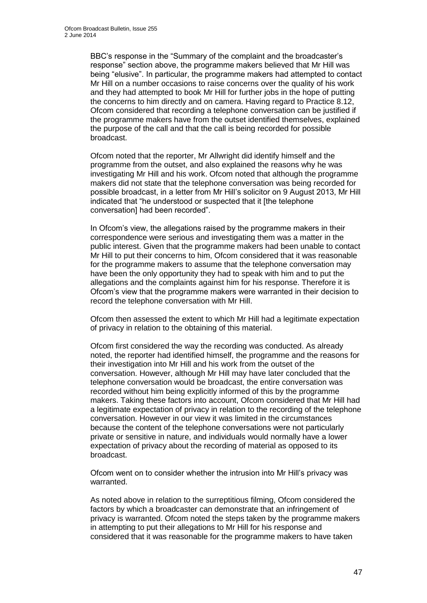BBC's response in the "Summary of the complaint and the broadcaster's response" section above, the programme makers believed that Mr Hill was being "elusive". In particular, the programme makers had attempted to contact Mr Hill on a number occasions to raise concerns over the quality of his work and they had attempted to book Mr Hill for further jobs in the hope of putting the concerns to him directly and on camera. Having regard to Practice 8.12, Ofcom considered that recording a telephone conversation can be justified if the programme makers have from the outset identified themselves, explained the purpose of the call and that the call is being recorded for possible broadcast.

Ofcom noted that the reporter, Mr Allwright did identify himself and the programme from the outset, and also explained the reasons why he was investigating Mr Hill and his work. Ofcom noted that although the programme makers did not state that the telephone conversation was being recorded for possible broadcast, in a letter from Mr Hill's solicitor on 9 August 2013, Mr Hill indicated that "he understood or suspected that it [the telephone conversation] had been recorded".

In Ofcom's view, the allegations raised by the programme makers in their correspondence were serious and investigating them was a matter in the public interest. Given that the programme makers had been unable to contact Mr Hill to put their concerns to him, Ofcom considered that it was reasonable for the programme makers to assume that the telephone conversation may have been the only opportunity they had to speak with him and to put the allegations and the complaints against him for his response. Therefore it is Ofcom's view that the programme makers were warranted in their decision to record the telephone conversation with Mr Hill.

Ofcom then assessed the extent to which Mr Hill had a legitimate expectation of privacy in relation to the obtaining of this material.

Ofcom first considered the way the recording was conducted. As already noted, the reporter had identified himself, the programme and the reasons for their investigation into Mr Hill and his work from the outset of the conversation. However, although Mr Hill may have later concluded that the telephone conversation would be broadcast, the entire conversation was recorded without him being explicitly informed of this by the programme makers. Taking these factors into account, Ofcom considered that Mr Hill had a legitimate expectation of privacy in relation to the recording of the telephone conversation. However in our view it was limited in the circumstances because the content of the telephone conversations were not particularly private or sensitive in nature, and individuals would normally have a lower expectation of privacy about the recording of material as opposed to its broadcast.

Ofcom went on to consider whether the intrusion into Mr Hill's privacy was warranted.

As noted above in relation to the surreptitious filming, Ofcom considered the factors by which a broadcaster can demonstrate that an infringement of privacy is warranted. Ofcom noted the steps taken by the programme makers in attempting to put their allegations to Mr Hill for his response and considered that it was reasonable for the programme makers to have taken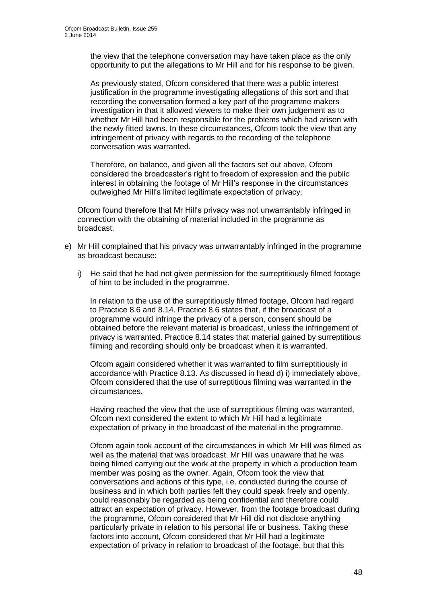the view that the telephone conversation may have taken place as the only opportunity to put the allegations to Mr Hill and for his response to be given.

As previously stated, Ofcom considered that there was a public interest justification in the programme investigating allegations of this sort and that recording the conversation formed a key part of the programme makers investigation in that it allowed viewers to make their own judgement as to whether Mr Hill had been responsible for the problems which had arisen with the newly fitted lawns. In these circumstances, Ofcom took the view that any infringement of privacy with regards to the recording of the telephone conversation was warranted.

Therefore, on balance, and given all the factors set out above, Ofcom considered the broadcaster's right to freedom of expression and the public interest in obtaining the footage of Mr Hill's response in the circumstances outweighed Mr Hill's limited legitimate expectation of privacy.

Ofcom found therefore that Mr Hill's privacy was not unwarrantably infringed in connection with the obtaining of material included in the programme as broadcast.

- e) Mr Hill complained that his privacy was unwarrantably infringed in the programme as broadcast because:
	- i) He said that he had not given permission for the surreptitiously filmed footage of him to be included in the programme.

In relation to the use of the surreptitiously filmed footage, Ofcom had regard to Practice 8.6 and 8.14. Practice 8.6 states that, if the broadcast of a programme would infringe the privacy of a person, consent should be obtained before the relevant material is broadcast, unless the infringement of privacy is warranted. Practice 8.14 states that material gained by surreptitious filming and recording should only be broadcast when it is warranted.

Ofcom again considered whether it was warranted to film surreptitiously in accordance with Practice 8.13. As discussed in head d) i) immediately above, Ofcom considered that the use of surreptitious filming was warranted in the circumstances.

Having reached the view that the use of surreptitious filming was warranted, Ofcom next considered the extent to which Mr Hill had a legitimate expectation of privacy in the broadcast of the material in the programme.

Ofcom again took account of the circumstances in which Mr Hill was filmed as well as the material that was broadcast. Mr Hill was unaware that he was being filmed carrying out the work at the property in which a production team member was posing as the owner. Again, Ofcom took the view that conversations and actions of this type, i.e. conducted during the course of business and in which both parties felt they could speak freely and openly, could reasonably be regarded as being confidential and therefore could attract an expectation of privacy. However, from the footage broadcast during the programme, Ofcom considered that Mr Hill did not disclose anything particularly private in relation to his personal life or business. Taking these factors into account, Ofcom considered that Mr Hill had a legitimate expectation of privacy in relation to broadcast of the footage, but that this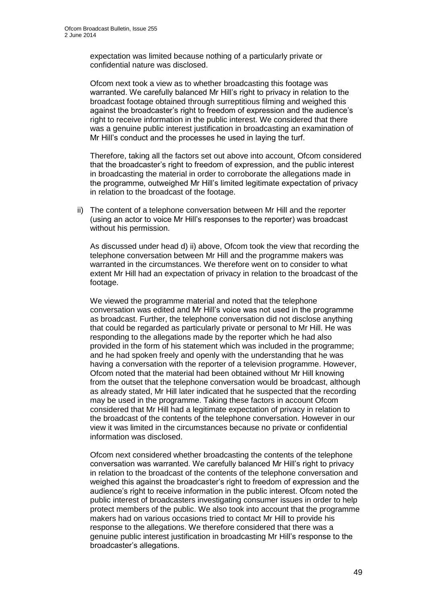expectation was limited because nothing of a particularly private or confidential nature was disclosed.

Ofcom next took a view as to whether broadcasting this footage was warranted. We carefully balanced Mr Hill's right to privacy in relation to the broadcast footage obtained through surreptitious filming and weighed this against the broadcaster's right to freedom of expression and the audience's right to receive information in the public interest. We considered that there was a genuine public interest justification in broadcasting an examination of Mr Hill's conduct and the processes he used in laying the turf.

Therefore, taking all the factors set out above into account, Ofcom considered that the broadcaster's right to freedom of expression, and the public interest in broadcasting the material in order to corroborate the allegations made in the programme, outweighed Mr Hill's limited legitimate expectation of privacy in relation to the broadcast of the footage.

ii) The content of a telephone conversation between Mr Hill and the reporter (using an actor to voice Mr Hill's responses to the reporter) was broadcast without his permission.

As discussed under head d) ii) above, Ofcom took the view that recording the telephone conversation between Mr Hill and the programme makers was warranted in the circumstances. We therefore went on to consider to what extent Mr Hill had an expectation of privacy in relation to the broadcast of the footage.

We viewed the programme material and noted that the telephone conversation was edited and Mr Hill's voice was not used in the programme as broadcast. Further, the telephone conversation did not disclose anything that could be regarded as particularly private or personal to Mr Hill. He was responding to the allegations made by the reporter which he had also provided in the form of his statement which was included in the programme; and he had spoken freely and openly with the understanding that he was having a conversation with the reporter of a television programme. However, Ofcom noted that the material had been obtained without Mr Hill knowing from the outset that the telephone conversation would be broadcast, although as already stated, Mr Hill later indicated that he suspected that the recording may be used in the programme. Taking these factors in account Ofcom considered that Mr Hill had a legitimate expectation of privacy in relation to the broadcast of the contents of the telephone conversation. However in our view it was limited in the circumstances because no private or confidential information was disclosed.

Ofcom next considered whether broadcasting the contents of the telephone conversation was warranted. We carefully balanced Mr Hill's right to privacy in relation to the broadcast of the contents of the telephone conversation and weighed this against the broadcaster's right to freedom of expression and the audience's right to receive information in the public interest. Ofcom noted the public interest of broadcasters investigating consumer issues in order to help protect members of the public. We also took into account that the programme makers had on various occasions tried to contact Mr Hill to provide his response to the allegations. We therefore considered that there was a genuine public interest justification in broadcasting Mr Hill's response to the broadcaster's allegations.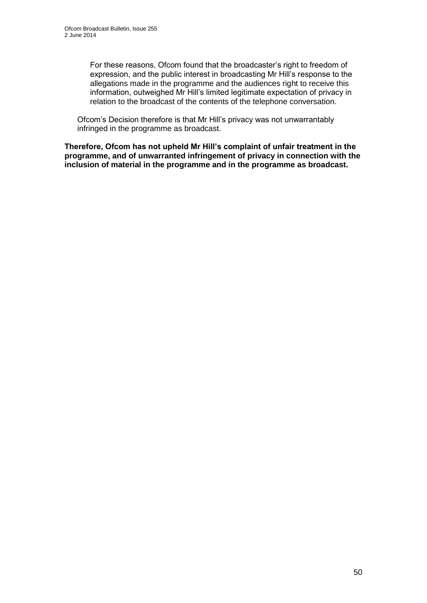For these reasons, Ofcom found that the broadcaster's right to freedom of expression, and the public interest in broadcasting Mr Hill's response to the allegations made in the programme and the audiences right to receive this information, outweighed Mr Hill's limited legitimate expectation of privacy in relation to the broadcast of the contents of the telephone conversation.

Ofcom's Decision therefore is that Mr Hill's privacy was not unwarrantably infringed in the programme as broadcast.

**Therefore, Ofcom has not upheld Mr Hill's complaint of unfair treatment in the programme, and of unwarranted infringement of privacy in connection with the inclusion of material in the programme and in the programme as broadcast.**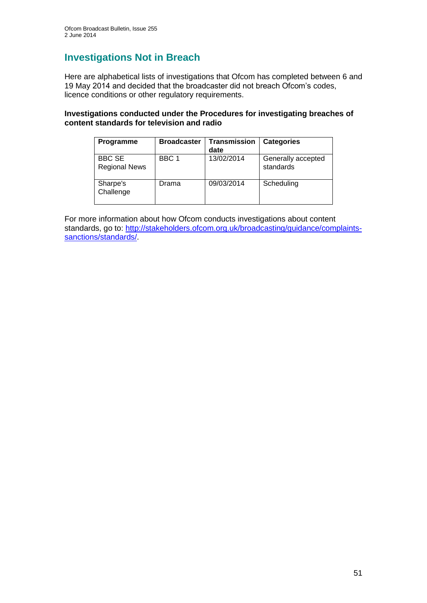# **Investigations Not in Breach**

Here are alphabetical lists of investigations that Ofcom has completed between 6 and 19 May 2014 and decided that the broadcaster did not breach Ofcom's codes, licence conditions or other regulatory requirements.

## **Investigations conducted under the Procedures for investigating breaches of content standards for television and radio**

| Programme                             | <b>Broadcaster</b> | <b>Transmission</b><br>date | <b>Categories</b>               |
|---------------------------------------|--------------------|-----------------------------|---------------------------------|
| <b>BBC SE</b><br><b>Regional News</b> | BBC 1              | 13/02/2014                  | Generally accepted<br>standards |
| Sharpe's<br>Challenge                 | Drama              | 09/03/2014                  | Scheduling                      |

For more information about how Ofcom conducts investigations about content standards, go to: [http://stakeholders.ofcom.org.uk/broadcasting/guidance/complaints](http://stakeholders.ofcom.org.uk/broadcasting/guidance/complaints-sanctions/standards/)sanctions/standards/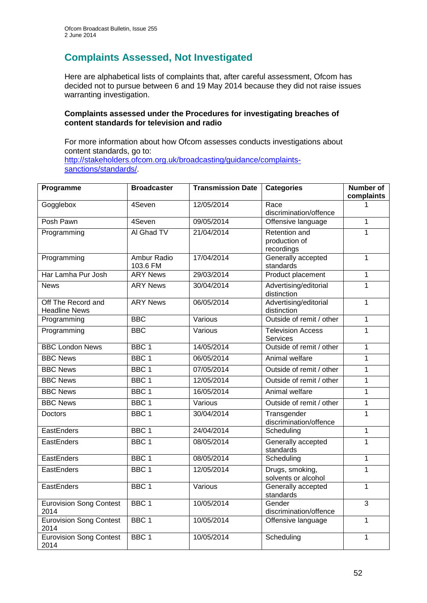# **Complaints Assessed, Not Investigated**

Here are alphabetical lists of complaints that, after careful assessment, Ofcom has decided not to pursue between 6 and 19 May 2014 because they did not raise issues warranting investigation.

## **Complaints assessed under the Procedures for investigating breaches of content standards for television and radio**

For more information about how Ofcom assesses conducts investigations about content standards, go to: [http://stakeholders.ofcom.org.uk/broadcasting/guidance/complaints](http://stakeholders.ofcom.org.uk/broadcasting/guidance/complaints-sanctions/standards/)[sanctions/standards/.](http://stakeholders.ofcom.org.uk/broadcasting/guidance/complaints-sanctions/standards/)

| Programme                                  | <b>Broadcaster</b>      | <b>Transmission Date</b> | <b>Categories</b>                            | <b>Number of</b><br>complaints |
|--------------------------------------------|-------------------------|--------------------------|----------------------------------------------|--------------------------------|
| Gogglebox                                  | 4Seven                  | 12/05/2014               | Race<br>discrimination/offence               |                                |
| Posh Pawn                                  | 4Seven                  | 09/05/2014               | Offensive language                           | 1                              |
| Programming                                | Al Ghad TV              | 21/04/2014               | Retention and<br>production of<br>recordings | 1                              |
| Programming                                | Ambur Radio<br>103.6 FM | 17/04/2014               | Generally accepted<br>standards              | $\mathbf{1}$                   |
| Har Lamha Pur Josh                         | <b>ARY News</b>         | 29/03/2014               | Product placement                            | $\mathbf{1}$                   |
| <b>News</b>                                | <b>ARY News</b>         | 30/04/2014               | Advertising/editorial<br>distinction         | 1                              |
| Off The Record and<br><b>Headline News</b> | <b>ARY News</b>         | 06/05/2014               | Advertising/editorial<br>distinction         | $\mathbf{1}$                   |
| Programming                                | <b>BBC</b>              | Various                  | Outside of remit / other                     | $\mathbf{1}$                   |
| Programming                                | <b>BBC</b>              | Various                  | <b>Television Access</b><br>Services         | $\mathbf 1$                    |
| <b>BBC London News</b>                     | BBC <sub>1</sub>        | 14/05/2014               | Outside of remit / other                     | $\mathbf{1}$                   |
| <b>BBC News</b>                            | BBC <sub>1</sub>        | 06/05/2014               | Animal welfare                               | $\mathbf{1}$                   |
| <b>BBC News</b>                            | BBC <sub>1</sub>        | 07/05/2014               | Outside of remit / other                     | $\mathbf{1}$                   |
| <b>BBC News</b>                            | BBC <sub>1</sub>        | 12/05/2014               | Outside of remit / other                     | $\mathbf{1}$                   |
| <b>BBC News</b>                            | BBC <sub>1</sub>        | 16/05/2014               | Animal welfare                               | $\mathbf{1}$                   |
| <b>BBC News</b>                            | BBC <sub>1</sub>        | Various                  | Outside of remit / other                     | $\mathbf{1}$                   |
| Doctors                                    | BBC <sub>1</sub>        | 30/04/2014               | Transgender<br>discrimination/offence        | $\mathbf{1}$                   |
| EastEnders                                 | BBC <sub>1</sub>        | 24/04/2014               | Scheduling                                   | $\overline{1}$                 |
| EastEnders                                 | BBC <sub>1</sub>        | 08/05/2014               | Generally accepted<br>standards              | $\mathbf{1}$                   |
| EastEnders                                 | BBC <sub>1</sub>        | 08/05/2014               | Scheduling                                   | $\mathbf{1}$                   |
| EastEnders                                 | BBC <sub>1</sub>        | 12/05/2014               | Drugs, smoking,<br>solvents or alcohol       | $\mathbf{1}$                   |
| EastEnders                                 | BBC <sub>1</sub>        | Various                  | Generally accepted<br>standards              | $\mathbf{1}$                   |
| <b>Eurovision Song Contest</b><br>2014     | BBC <sub>1</sub>        | 10/05/2014               | Gender<br>discrimination/offence             | $\overline{3}$                 |
| <b>Eurovision Song Contest</b><br>2014     | BBC <sub>1</sub>        | 10/05/2014               | Offensive language                           | $\mathbf{1}$                   |
| <b>Eurovision Song Contest</b><br>2014     | BBC <sub>1</sub>        | 10/05/2014               | Scheduling                                   | 1                              |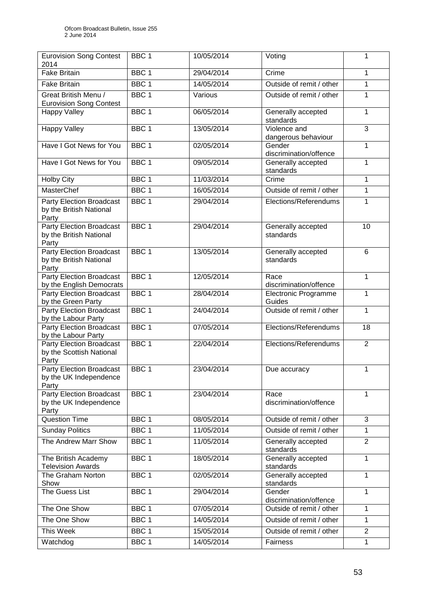| <b>Eurovision Song Contest</b><br>2014                              | BBC <sub>1</sub> | 10/05/2014 | Voting                              | 1              |
|---------------------------------------------------------------------|------------------|------------|-------------------------------------|----------------|
| <b>Fake Britain</b>                                                 | BBC <sub>1</sub> | 29/04/2014 | Crime                               | 1              |
| <b>Fake Britain</b>                                                 | BBC <sub>1</sub> | 14/05/2014 | Outside of remit / other            | $\mathbf{1}$   |
| Great British Menu /                                                | BBC <sub>1</sub> | Various    | Outside of remit / other            | 1              |
| <b>Eurovision Song Contest</b>                                      |                  |            |                                     |                |
| <b>Happy Valley</b>                                                 | BBC <sub>1</sub> | 06/05/2014 | Generally accepted<br>standards     | 1              |
| <b>Happy Valley</b>                                                 | BBC <sub>1</sub> | 13/05/2014 | Violence and<br>dangerous behaviour | 3              |
| Have I Got News for You                                             | BBC <sub>1</sub> | 02/05/2014 | Gender<br>discrimination/offence    | 1              |
| Have I Got News for You                                             | BBC <sub>1</sub> | 09/05/2014 | Generally accepted<br>standards     | 1              |
| <b>Holby City</b>                                                   | BBC <sub>1</sub> | 11/03/2014 | Crime                               | 1              |
| <b>MasterChef</b>                                                   | BBC <sub>1</sub> | 16/05/2014 | Outside of remit / other            | 1              |
| Party Election Broadcast<br>by the British National<br>Party        | BBC <sub>1</sub> | 29/04/2014 | Elections/Referendums               | 1              |
| <b>Party Election Broadcast</b><br>by the British National<br>Party | BBC <sub>1</sub> | 29/04/2014 | Generally accepted<br>standards     | 10             |
| <b>Party Election Broadcast</b><br>by the British National<br>Party | BBC <sub>1</sub> | 13/05/2014 | Generally accepted<br>standards     | 6              |
| Party Election Broadcast<br>by the English Democrats                | BBC <sub>1</sub> | 12/05/2014 | Race<br>discrimination/offence      | 1              |
| <b>Party Election Broadcast</b><br>by the Green Party               | BBC <sub>1</sub> | 28/04/2014 | Electronic Programme<br>Guides      | 1              |
| <b>Party Election Broadcast</b><br>by the Labour Party              | BBC <sub>1</sub> | 24/04/2014 | Outside of remit / other            | 1              |
| <b>Party Election Broadcast</b><br>by the Labour Party              | BBC <sub>1</sub> | 07/05/2014 | Elections/Referendums               | 18             |
| Party Election Broadcast<br>by the Scottish National<br>Party       | BBC <sub>1</sub> | 22/04/2014 | Elections/Referendums               | $\overline{2}$ |
| <b>Party Election Broadcast</b><br>by the UK Independence<br>Party  | BBC 1            | 23/04/2014 | Due accuracy                        | 1              |
| <b>Party Election Broadcast</b><br>by the UK Independence<br>Party  | BBC <sub>1</sub> | 23/04/2014 | Race<br>discrimination/offence      | 1              |
| <b>Question Time</b>                                                | BBC <sub>1</sub> | 08/05/2014 | Outside of remit / other            | 3              |
| <b>Sunday Politics</b>                                              | BBC <sub>1</sub> | 11/05/2014 | Outside of remit / other            | 1              |
| The Andrew Marr Show                                                | BBC <sub>1</sub> | 11/05/2014 | Generally accepted<br>standards     | $\overline{2}$ |
| The British Academy<br><b>Television Awards</b>                     | BBC <sub>1</sub> | 18/05/2014 | Generally accepted<br>standards     | 1              |
| The Graham Norton<br>Show                                           | BBC <sub>1</sub> | 02/05/2014 | Generally accepted<br>standards     | 1              |
| The Guess List                                                      | BBC <sub>1</sub> | 29/04/2014 | Gender<br>discrimination/offence    | 1              |
| The One Show                                                        | BBC <sub>1</sub> | 07/05/2014 | Outside of remit / other            | 1              |
| The One Show                                                        | BBC <sub>1</sub> | 14/05/2014 | Outside of remit / other            | 1              |
| This Week                                                           | BBC <sub>1</sub> | 15/05/2014 | Outside of remit / other            | $\overline{2}$ |
| Watchdog                                                            | BBC <sub>1</sub> | 14/05/2014 | Fairness                            | $\mathbf{1}$   |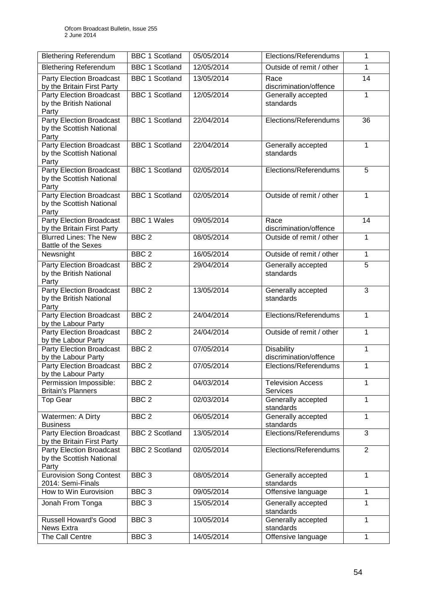| <b>Blethering Referendum</b>                                         | <b>BBC 1 Scotland</b> | 05/05/2014 | Elections/Referendums                       | 1              |
|----------------------------------------------------------------------|-----------------------|------------|---------------------------------------------|----------------|
|                                                                      |                       |            |                                             |                |
| <b>Blethering Referendum</b>                                         | <b>BBC 1 Scotland</b> | 12/05/2014 | Outside of remit / other                    | 1              |
| Party Election Broadcast<br>by the Britain First Party               | <b>BBC 1 Scotland</b> | 13/05/2014 | Race<br>discrimination/offence              | 14             |
| Party Election Broadcast<br>by the British National<br>Party         | <b>BBC 1 Scotland</b> | 12/05/2014 | Generally accepted<br>standards             | 1              |
| <b>Party Election Broadcast</b><br>by the Scottish National<br>Party | <b>BBC 1 Scotland</b> | 22/04/2014 | Elections/Referendums                       | 36             |
| <b>Party Election Broadcast</b><br>by the Scottish National<br>Party | <b>BBC 1 Scotland</b> | 22/04/2014 | Generally accepted<br>standards             | 1              |
| Party Election Broadcast<br>by the Scottish National<br>Party        | <b>BBC 1 Scotland</b> | 02/05/2014 | Elections/Referendums                       | 5              |
| <b>Party Election Broadcast</b><br>by the Scottish National<br>Party | <b>BBC 1 Scotland</b> | 02/05/2014 | Outside of remit / other                    | 1              |
| <b>Party Election Broadcast</b><br>by the Britain First Party        | <b>BBC 1 Wales</b>    | 09/05/2014 | Race<br>discrimination/offence              | 14             |
| <b>Blurred Lines: The New</b><br><b>Battle of the Sexes</b>          | BBC <sub>2</sub>      | 08/05/2014 | Outside of remit / other                    | 1              |
| Newsnight                                                            | BBC <sub>2</sub>      | 16/05/2014 | Outside of remit / other                    | $\mathbf{1}$   |
| Party Election Broadcast<br>by the British National<br>Party         | BBC <sub>2</sub>      | 29/04/2014 | Generally accepted<br>standards             | 5              |
| Party Election Broadcast<br>by the British National<br>Party         | BBC <sub>2</sub>      | 13/05/2014 | Generally accepted<br>standards             | 3              |
| Party Election Broadcast<br>by the Labour Party                      | BBC <sub>2</sub>      | 24/04/2014 | Elections/Referendums                       | 1              |
| <b>Party Election Broadcast</b><br>by the Labour Party               | BBC <sub>2</sub>      | 24/04/2014 | Outside of remit / other                    | 1              |
| <b>Party Election Broadcast</b><br>by the Labour Party               | BBC <sub>2</sub>      | 07/05/2014 | <b>Disability</b><br>discrimination/offence | $\mathbf{1}$   |
| <b>Party Election Broadcast</b><br>by the Labour Party               | BBC <sub>2</sub>      | 07/05/2014 | Elections/Referendums                       | $\mathbf{1}$   |
| Permission Impossible:<br><b>Britain's Planners</b>                  | BBC <sub>2</sub>      | 04/03/2014 | <b>Television Access</b><br><b>Services</b> | 1              |
| <b>Top Gear</b>                                                      | BBC <sub>2</sub>      | 02/03/2014 | Generally accepted<br>standards             | 1              |
| Watermen: A Dirty<br><b>Business</b>                                 | BBC <sub>2</sub>      | 06/05/2014 | Generally accepted<br>standards             | 1              |
| <b>Party Election Broadcast</b><br>by the Britain First Party        | <b>BBC 2 Scotland</b> | 13/05/2014 | Elections/Referendums                       | 3              |
| Party Election Broadcast<br>by the Scottish National<br>Party        | <b>BBC 2 Scotland</b> | 02/05/2014 | Elections/Referendums                       | $\overline{2}$ |
| <b>Eurovision Song Contest</b><br>2014: Semi-Finals                  | BBC <sub>3</sub>      | 08/05/2014 | Generally accepted<br>standards             | 1              |
| How to Win Eurovision                                                | BBC <sub>3</sub>      | 09/05/2014 | Offensive language                          | 1              |
| Jonah From Tonga                                                     | BBC <sub>3</sub>      | 15/05/2014 | Generally accepted<br>standards             | 1              |
| <b>Russell Howard's Good</b><br><b>News Extra</b>                    | BBC <sub>3</sub>      | 10/05/2014 | Generally accepted<br>standards             | 1              |
| The Call Centre                                                      | BBC <sub>3</sub>      | 14/05/2014 | Offensive language                          | 1              |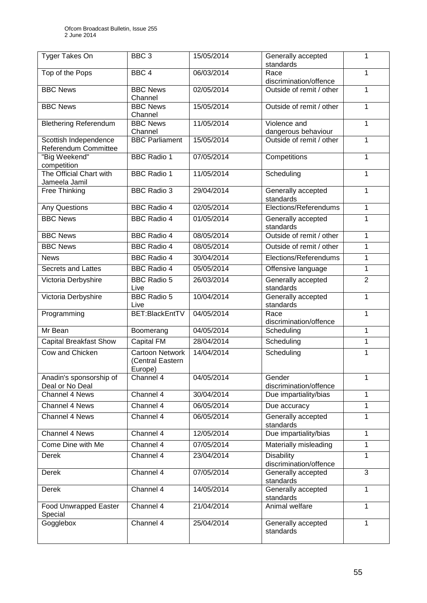| Tyger Takes On                                | BBC <sub>3</sub>                                      | 15/05/2014 | Generally accepted<br>standards             | 1              |
|-----------------------------------------------|-------------------------------------------------------|------------|---------------------------------------------|----------------|
| Top of the Pops                               | BBC <sub>4</sub>                                      | 06/03/2014 | Race<br>discrimination/offence              | 1              |
| <b>BBC News</b>                               | <b>BBC News</b><br>Channel                            | 02/05/2014 | Outside of remit / other                    | 1              |
| <b>BBC News</b>                               | <b>BBC News</b><br>Channel                            | 15/05/2014 | Outside of remit / other                    | $\mathbf{1}$   |
| <b>Blethering Referendum</b>                  | <b>BBC News</b><br>Channel                            | 11/05/2014 | Violence and<br>dangerous behaviour         | 1              |
| Scottish Independence<br>Referendum Committee | <b>BBC Parliament</b>                                 | 15/05/2014 | Outside of remit / other                    | 1              |
| "Big Weekend"<br>competition                  | <b>BBC Radio 1</b>                                    | 07/05/2014 | Competitions                                | 1              |
| The Official Chart with<br>Jameela Jamil      | <b>BBC</b> Radio 1                                    | 11/05/2014 | Scheduling                                  | 1              |
| Free Thinking                                 | <b>BBC Radio 3</b>                                    | 29/04/2014 | Generally accepted<br>standards             | 1              |
| <b>Any Questions</b>                          | <b>BBC Radio 4</b>                                    | 02/05/2014 | Elections/Referendums                       | $\mathbf{1}$   |
| <b>BBC News</b>                               | <b>BBC Radio 4</b>                                    | 01/05/2014 | Generally accepted<br>standards             | 1              |
| <b>BBC News</b>                               | <b>BBC Radio 4</b>                                    | 08/05/2014 | Outside of remit / other                    | $\mathbf{1}$   |
| <b>BBC News</b>                               | <b>BBC Radio 4</b>                                    | 08/05/2014 | Outside of remit / other                    | 1              |
| <b>News</b>                                   | <b>BBC Radio 4</b>                                    | 30/04/2014 | Elections/Referendums                       | 1              |
| <b>Secrets and Lattes</b>                     | <b>BBC Radio 4</b>                                    | 05/05/2014 | Offensive language                          | $\mathbf{1}$   |
| Victoria Derbyshire                           | <b>BBC Radio 5</b><br>Live                            | 26/03/2014 | Generally accepted<br>standards             | $\overline{2}$ |
| Victoria Derbyshire                           | <b>BBC Radio 5</b><br>Live                            | 10/04/2014 | Generally accepted<br>standards             | $\mathbf{1}$   |
| Programming                                   | BET:BlackEntTV                                        | 04/05/2014 | Race<br>discrimination/offence              | $\mathbf{1}$   |
| Mr Bean                                       | Boomerang                                             | 04/05/2014 | Scheduling                                  | 1              |
| <b>Capital Breakfast Show</b>                 | <b>Capital FM</b>                                     | 28/04/2014 | Scheduling                                  | 1              |
| Cow and Chicken                               | <b>Cartoon Network</b><br>(Central Eastern<br>Europe) | 14/04/2014 | Scheduling                                  | 1              |
| Anadin's sponsorship of<br>Deal or No Deal    | Channel 4                                             | 04/05/2014 | Gender<br>discrimination/offence            | 1              |
| Channel 4 News                                | Channel 4                                             | 30/04/2014 | Due impartiality/bias                       | 1              |
| Channel 4 News                                | Channel 4                                             | 06/05/2014 | Due accuracy                                | 1              |
| Channel 4 News                                | Channel 4                                             | 06/05/2014 | Generally accepted<br>standards             | 1              |
| Channel 4 News                                | Channel $4$                                           | 12/05/2014 | Due impartiality/bias                       | 1              |
| Come Dine with Me                             | Channel 4                                             | 07/05/2014 | Materially misleading                       | 1              |
| Derek                                         | Channel 4                                             | 23/04/2014 | <b>Disability</b><br>discrimination/offence | 1              |
| Derek                                         | Channel 4                                             | 07/05/2014 | Generally accepted<br>standards             | 3              |
| Derek                                         | Channel 4                                             | 14/05/2014 | Generally accepted<br>standards             | 1              |
| Food Unwrapped Easter<br>Special              | Channel 4                                             | 21/04/2014 | Animal welfare                              | 1              |
| Gogglebox                                     | Channel 4                                             | 25/04/2014 | Generally accepted<br>standards             | 1              |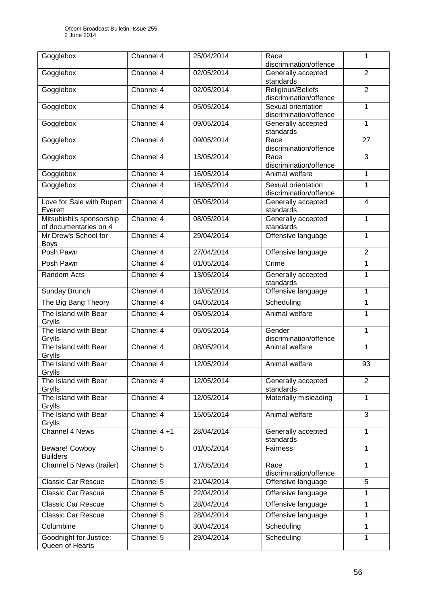| Gogglebox                                         | Channel 4   | 25/04/2014 | Race<br>discrimination/offence               | 1              |
|---------------------------------------------------|-------------|------------|----------------------------------------------|----------------|
| Gogglebox                                         | Channel 4   | 02/05/2014 | Generally accepted<br>standards              | $\overline{2}$ |
| Gogglebox                                         | Channel 4   | 02/05/2014 | Religious/Beliefs<br>discrimination/offence  | $\overline{2}$ |
| Gogglebox                                         | Channel 4   | 05/05/2014 | Sexual orientation<br>discrimination/offence | 1              |
| Gogglebox                                         | Channel 4   | 09/05/2014 | Generally accepted<br>standards              | 1              |
| Gogglebox                                         | Channel 4   | 09/05/2014 | Race<br>discrimination/offence               | 27             |
| Gogglebox                                         | Channel 4   | 13/05/2014 | Race<br>discrimination/offence               | 3              |
| Gogglebox                                         | Channel 4   | 16/05/2014 | Animal welfare                               | $\mathbf{1}$   |
| Gogglebox                                         | Channel 4   | 16/05/2014 | Sexual orientation<br>discrimination/offence | 1              |
| Love for Sale with Rupert<br>Everett              | Channel 4   | 05/05/2014 | Generally accepted<br>standards              | $\overline{4}$ |
| Mitsubishi's sponsorship<br>of documentaries on 4 | Channel 4   | 08/05/2014 | Generally accepted<br>standards              | 1              |
| Mr Drew's School for<br><b>Boys</b>               | Channel 4   | 29/04/2014 | Offensive language                           | 1              |
| Posh Pawn                                         | Channel 4   | 27/04/2014 | Offensive language                           | $\overline{2}$ |
| Posh Pawn                                         | Channel 4   | 01/05/2014 | Crime                                        | 1              |
| Random Acts                                       | Channel 4   | 13/05/2014 | Generally accepted<br>standards              | 1              |
| Sunday Brunch                                     | Channel 4   | 18/05/2014 | Offensive language                           | $\mathbf{1}$   |
| The Big Bang Theory                               | Channel 4   | 04/05/2014 | Scheduling                                   | $\mathbf{1}$   |
| The Island with Bear<br>Grylls                    | Channel 4   | 05/05/2014 | Animal welfare                               | $\mathbf{1}$   |
| The Island with Bear<br>Grylls                    | Channel 4   | 05/05/2014 | Gender<br>discrimination/offence             | $\mathbf{1}$   |
| The Island with Bear<br>Grylls                    | Channel 4   | 08/05/2014 | Animal welfare                               | 1              |
| The Island with Bear<br>Grylls                    | Channel 4   | 12/05/2014 | Animal welfare                               | 93             |
| The Island with Bear<br>Grylls                    | Channel 4   | 12/05/2014 | Generally accepted<br>standards              | $\overline{2}$ |
| The Island with Bear<br>Grylls                    | Channel 4   | 12/05/2014 | Materially misleading                        | 1              |
| The Island with Bear<br>Grylls                    | Channel 4   | 15/05/2014 | Animal welfare                               | 3              |
| Channel 4 News                                    | Channel 4+1 | 28/04/2014 | Generally accepted<br>standards              | 1              |
| Beware! Cowboy<br><b>Builders</b>                 | Channel 5   | 01/05/2014 | Fairness                                     | 1              |
| Channel 5 News (trailer)                          | Channel 5   | 17/05/2014 | Race<br>discrimination/offence               | $\mathbf{1}$   |
| <b>Classic Car Rescue</b>                         | Channel 5   | 21/04/2014 | Offensive language                           | 5              |
| <b>Classic Car Rescue</b>                         | Channel 5   | 22/04/2014 | Offensive language                           | 1              |
| <b>Classic Car Rescue</b>                         | Channel 5   | 28/04/2014 | Offensive language                           | $\mathbf{1}$   |
| <b>Classic Car Rescue</b>                         | Channel $5$ | 28/04/2014 | Offensive language                           | 1              |
| Columbine                                         | Channel 5   | 30/04/2014 | Scheduling                                   | $\mathbf{1}$   |
| Goodnight for Justice:<br>Queen of Hearts         | Channel 5   | 29/04/2014 | Scheduling                                   | 1              |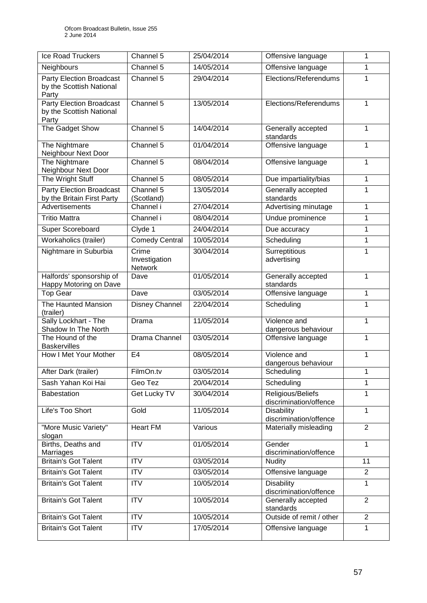| Ice Road Truckers                                                    | Channel 5                         | 25/04/2014 | Offensive language                          | 1              |
|----------------------------------------------------------------------|-----------------------------------|------------|---------------------------------------------|----------------|
| Neighbours                                                           | Channel 5                         | 14/05/2014 | Offensive language                          | 1              |
| Party Election Broadcast<br>by the Scottish National<br>Party        | Channel 5                         | 29/04/2014 | Elections/Referendums                       | 1              |
| <b>Party Election Broadcast</b><br>by the Scottish National<br>Party | Channel 5                         | 13/05/2014 | Elections/Referendums                       | $\mathbf{1}$   |
| The Gadget Show                                                      | Channel 5                         | 14/04/2014 | Generally accepted<br>standards             | 1              |
| The Nightmare<br>Neighbour Next Door                                 | Channel 5                         | 01/04/2014 | Offensive language                          | 1              |
| The Nightmare<br>Neighbour Next Door                                 | Channel 5                         | 08/04/2014 | Offensive language                          | $\mathbf{1}$   |
| The Wright Stuff                                                     | Channel 5                         | 08/05/2014 | Due impartiality/bias                       | 1              |
| <b>Party Election Broadcast</b><br>by the Britain First Party        | Channel 5<br>(Scotland)           | 13/05/2014 | Generally accepted<br>standards             | 1              |
| Advertisements                                                       | Channel i                         | 27/04/2014 | Advertising minutage                        | 1              |
| <b>Tritio Mattra</b>                                                 | Channel i                         | 08/04/2014 | Undue prominence                            | 1              |
| Super Scoreboard                                                     | Clyde 1                           | 24/04/2014 | Due accuracy                                | $\mathbf{1}$   |
| Workaholics (trailer)                                                | <b>Comedy Central</b>             | 10/05/2014 | Scheduling                                  | $\mathbf{1}$   |
| Nightmare in Suburbia                                                | Crime<br>Investigation<br>Network | 30/04/2014 | Surreptitious<br>advertising                | 1              |
| Halfords' sponsorship of<br>Happy Motoring on Dave                   | Dave                              | 01/05/2014 | Generally accepted<br>standards             | 1              |
| <b>Top Gear</b>                                                      | Dave                              | 03/05/2014 | Offensive language                          | 1              |
| The Haunted Mansion<br>(trailer)                                     | Disney Channel                    | 22/04/2014 | Scheduling                                  | 1              |
| Sally Lockhart - The<br>Shadow In The North                          | Drama                             | 11/05/2014 | Violence and<br>dangerous behaviour         | 1              |
| The Hound of the<br><b>Baskervilles</b>                              | Drama Channel                     | 03/05/2014 | Offensive language                          | 1              |
| How I Met Your Mother                                                | E <sub>4</sub>                    | 08/05/2014 | Violence and<br>dangerous behaviour         | 1              |
| After Dark (trailer)                                                 | FilmOn.tv                         | 03/05/2014 | Scheduling                                  | 1              |
| Sash Yahan Koi Hai                                                   | Geo Tez                           | 20/04/2014 | Scheduling                                  | 1              |
| <b>Babestation</b>                                                   | Get Lucky TV                      | 30/04/2014 | Religious/Beliefs<br>discrimination/offence | 1              |
| Life's Too Short                                                     | Gold                              | 11/05/2014 | <b>Disability</b><br>discrimination/offence | 1              |
| "More Music Variety"<br>slogan                                       | <b>Heart FM</b>                   | Various    | Materially misleading                       | $\overline{2}$ |
| Births, Deaths and<br>Marriages                                      | $\overline{\text{ITV}}$           | 01/05/2014 | Gender<br>discrimination/offence            | $\mathbf{1}$   |
| <b>Britain's Got Talent</b>                                          | <b>ITV</b>                        | 03/05/2014 | Nudity                                      | 11             |
| <b>Britain's Got Talent</b>                                          | <b>ITV</b>                        | 03/05/2014 | Offensive language                          | $\overline{2}$ |
| <b>Britain's Got Talent</b>                                          | <b>ITV</b>                        | 10/05/2014 | <b>Disability</b><br>discrimination/offence | 1              |
| <b>Britain's Got Talent</b>                                          | <b>ITV</b>                        | 10/05/2014 | Generally accepted<br>standards             | $\overline{2}$ |
| <b>Britain's Got Talent</b>                                          | <b>ITV</b>                        | 10/05/2014 | Outside of remit / other                    | $\overline{2}$ |
| <b>Britain's Got Talent</b>                                          | <b>ITV</b>                        | 17/05/2014 | Offensive language                          | $\mathbf{1}$   |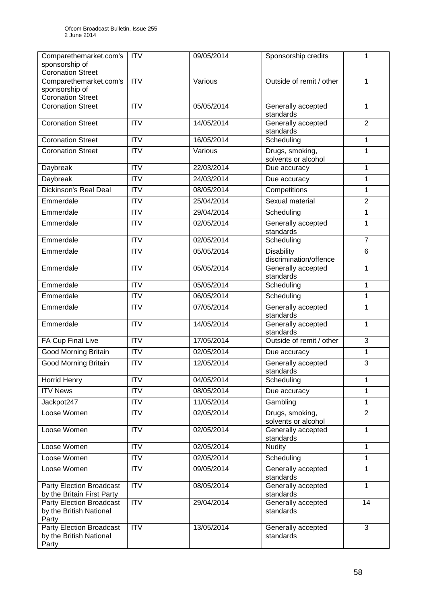| Comparethemarket.com's<br>sponsorship of<br><b>Coronation Street</b> | <b>ITV</b>              | 09/05/2014 | Sponsorship credits                         | 1              |
|----------------------------------------------------------------------|-------------------------|------------|---------------------------------------------|----------------|
| Comparethemarket.com's<br>sponsorship of<br><b>Coronation Street</b> | <b>ITV</b>              | Various    | Outside of remit / other                    | 1              |
| <b>Coronation Street</b>                                             | <b>ITV</b>              | 05/05/2014 | Generally accepted<br>standards             | 1              |
| <b>Coronation Street</b>                                             | $\overline{IV}$         | 14/05/2014 | Generally accepted<br>standards             | $\overline{2}$ |
| <b>Coronation Street</b>                                             | <b>ITV</b>              | 16/05/2014 | Scheduling                                  | 1              |
| <b>Coronation Street</b>                                             | <b>ITV</b>              | Various    | Drugs, smoking,<br>solvents or alcohol      | 1              |
| Daybreak                                                             | <b>ITV</b>              | 22/03/2014 | Due accuracy                                | 1              |
| Daybreak                                                             | <b>ITV</b>              | 24/03/2014 | Due accuracy                                | 1              |
| <b>Dickinson's Real Deal</b>                                         | $\overline{\text{ITV}}$ | 08/05/2014 | Competitions                                | 1              |
| Emmerdale                                                            | <b>ITV</b>              | 25/04/2014 | Sexual material                             | $\overline{2}$ |
| Emmerdale                                                            | $\overline{\text{ITV}}$ | 29/04/2014 | Scheduling                                  | 1              |
| Emmerdale                                                            | <b>ITV</b>              | 02/05/2014 | Generally accepted<br>standards             | 1              |
| Emmerdale                                                            | <b>ITV</b>              | 02/05/2014 | Scheduling                                  | $\overline{7}$ |
| Emmerdale                                                            | ITV                     | 05/05/2014 | <b>Disability</b><br>discrimination/offence | 6              |
| Emmerdale                                                            | <b>ITV</b>              | 05/05/2014 | Generally accepted<br>standards             | 1              |
| Emmerdale                                                            | <b>ITV</b>              | 05/05/2014 | Scheduling                                  | 1              |
| Emmerdale                                                            | <b>ITV</b>              | 06/05/2014 | Scheduling                                  | 1              |
| Emmerdale                                                            | $\overline{\text{ITV}}$ | 07/05/2014 | Generally accepted<br>standards             | 1              |
| Emmerdale                                                            | <b>ITV</b>              | 14/05/2014 | Generally accepted<br>standards             | 1              |
| FA Cup Final Live                                                    | $\overline{\text{ITV}}$ | 17/05/2014 | Outside of remit / other                    | 3              |
| Good Morning Britain                                                 | <b>ITV</b>              | 02/05/2014 | Due accuracy                                | 1              |
| <b>Good Morning Britain</b>                                          | $\overline{\text{IV}}$  | 12/05/2014 | Generally accepted<br>standards             | 3              |
| <b>Horrid Henry</b>                                                  | <b>ITV</b>              | 04/05/2014 | Scheduling                                  | 1              |
| <b>ITV News</b>                                                      | <b>ITV</b>              | 08/05/2014 | Due accuracy                                | 1              |
| Jackpot247                                                           | <b>ITV</b>              | 11/05/2014 | Gambling                                    | 1              |
| Loose Women                                                          | <b>ITV</b>              | 02/05/2014 | Drugs, smoking,<br>solvents or alcohol      | $\overline{2}$ |
| Loose Women                                                          | <b>ITV</b>              | 02/05/2014 | Generally accepted<br>standards             | 1              |
| Loose Women                                                          | <b>ITV</b>              | 02/05/2014 | <b>Nudity</b>                               | 1              |
| Loose Women                                                          | <b>ITV</b>              | 02/05/2014 | Scheduling                                  | 1              |
| Loose Women                                                          | <b>ITV</b>              | 09/05/2014 | Generally accepted<br>standards             | 1              |
| Party Election Broadcast<br>by the Britain First Party               | <b>ITV</b>              | 08/05/2014 | Generally accepted<br>standards             | $\mathbf{1}$   |
| Party Election Broadcast<br>by the British National<br>Party         | <b>ITV</b>              | 29/04/2014 | Generally accepted<br>standards             | 14             |
| Party Election Broadcast<br>by the British National<br>Party         | ITV                     | 13/05/2014 | Generally accepted<br>standards             | $\overline{3}$ |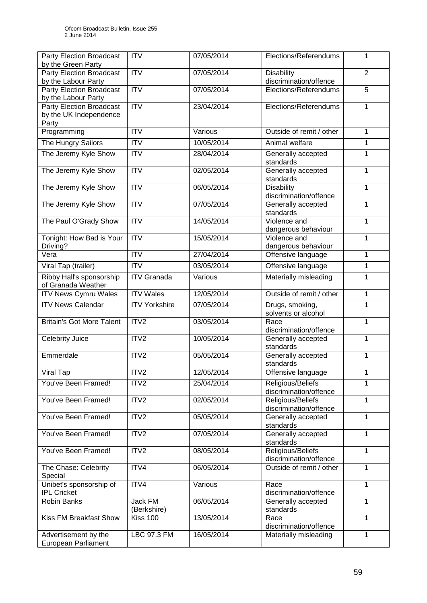| <b>Party Election Broadcast</b><br>by the Green Party              | <b>ITV</b>              | 07/05/2014 | Elections/Referendums                       | 1              |
|--------------------------------------------------------------------|-------------------------|------------|---------------------------------------------|----------------|
| Party Election Broadcast<br>by the Labour Party                    | ITV                     | 07/05/2014 | <b>Disability</b><br>discrimination/offence | $\overline{2}$ |
| <b>Party Election Broadcast</b><br>by the Labour Party             | $\overline{ITV}$        | 07/05/2014 | Elections/Referendums                       | $\overline{5}$ |
| <b>Party Election Broadcast</b><br>by the UK Independence<br>Party | $\overline{\text{ITV}}$ | 23/04/2014 | Elections/Referendums                       | $\mathbf{1}$   |
| Programming                                                        | $\overline{\text{ITV}}$ | Various    | Outside of remit / other                    | 1              |
| The Hungry Sailors                                                 | <b>ITV</b>              | 10/05/2014 | Animal welfare                              | 1              |
| The Jeremy Kyle Show                                               | <b>ITV</b>              | 28/04/2014 | Generally accepted<br>standards             | 1              |
| The Jeremy Kyle Show                                               | ITV                     | 02/05/2014 | Generally accepted<br>standards             | $\mathbf{1}$   |
| The Jeremy Kyle Show                                               | <b>ITV</b>              | 06/05/2014 | <b>Disability</b><br>discrimination/offence | $\mathbf{1}$   |
| The Jeremy Kyle Show                                               | ITV                     | 07/05/2014 | Generally accepted<br>standards             | $\mathbf{1}$   |
| The Paul O'Grady Show                                              | $\overline{IV}$         | 14/05/2014 | Violence and<br>dangerous behaviour         | $\overline{1}$ |
| Tonight: How Bad is Your<br>Driving?                               | <b>ITV</b>              | 15/05/2014 | Violence and<br>dangerous behaviour         | $\mathbf{1}$   |
| Vera                                                               | <b>ITV</b>              | 27/04/2014 | Offensive language                          | $\mathbf{1}$   |
| Viral Tap (trailer)                                                | <b>ITV</b>              | 03/05/2014 | Offensive language                          | $\mathbf{1}$   |
| Ribby Hall's sponsorship<br>of Granada Weather                     | <b>ITV</b> Granada      | Various    | Materially misleading                       | $\mathbf{1}$   |
| <b>ITV News Cymru Wales</b>                                        | <b>ITV Wales</b>        | 12/05/2014 | Outside of remit / other                    | $\mathbf{1}$   |
| <b>ITV News Calendar</b>                                           | <b>ITV Yorkshire</b>    | 07/05/2014 | Drugs, smoking,<br>solvents or alcohol      | 1              |
| <b>Britain's Got More Talent</b>                                   | ITV2                    | 03/05/2014 | Race<br>discrimination/offence              | $\mathbf{1}$   |
| Celebrity Juice                                                    | ITV2                    | 10/05/2014 | Generally accepted<br>standards             | 1              |
| Emmerdale                                                          | ITV2                    | 05/05/2014 | Generally accepted<br>standards             | 1              |
| Viral Tap                                                          | ITV <sub>2</sub>        | 12/05/2014 | Offensive language                          | $\mathbf{1}$   |
| You've Been Framed!                                                | ITV <sub>2</sub>        | 25/04/2014 | Religious/Beliefs<br>discrimination/offence | 1              |
| You've Been Framed!                                                | ITV <sub>2</sub>        | 02/05/2014 | Religious/Beliefs<br>discrimination/offence | 1              |
| You've Been Framed!                                                | ITV2                    | 05/05/2014 | Generally accepted<br>standards             | 1              |
| You've Been Framed!                                                | ITV2                    | 07/05/2014 | Generally accepted<br>standards             | $\mathbf{1}$   |
| You've Been Framed!                                                | ITV2                    | 08/05/2014 | Religious/Beliefs<br>discrimination/offence | 1              |
| The Chase: Celebrity<br>Special                                    | ITV4                    | 06/05/2014 | Outside of remit / other                    | 1              |
| Unibet's sponsorship of<br><b>IPL Cricket</b>                      | ITV4                    | Various    | Race<br>discrimination/offence              | $\mathbf{1}$   |
| Robin Banks                                                        | Jack FM<br>(Berkshire)  | 06/05/2014 | Generally accepted<br>standards             | 1              |
| <b>Kiss FM Breakfast Show</b>                                      | <b>Kiss 100</b>         | 13/05/2014 | Race<br>discrimination/offence              | 1              |
| Advertisement by the<br>European Parliament                        | LBC 97.3 FM             | 16/05/2014 | Materially misleading                       | $\mathbf{1}$   |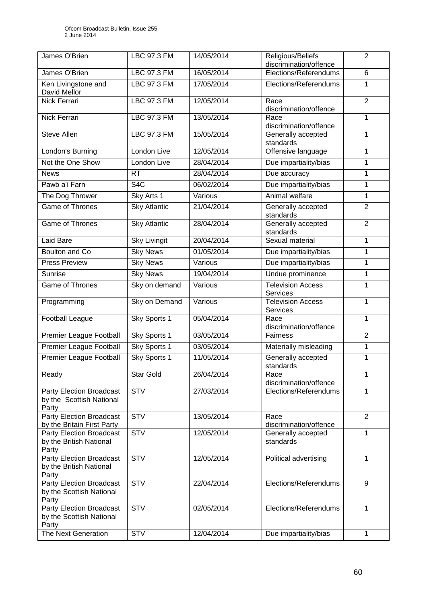| James O'Brien                                       | LBC 97.3 FM         | 14/05/2014 | Religious/Beliefs<br>discrimination/offence     | $\overline{2}$ |
|-----------------------------------------------------|---------------------|------------|-------------------------------------------------|----------------|
| James O'Brien                                       | <b>LBC 97.3 FM</b>  | 16/05/2014 | Elections/Referendums                           | 6              |
|                                                     | LBC 97.3 FM         | 17/05/2014 | Elections/Referendums                           | 1              |
| Ken Livingstone and<br>David Mellor                 |                     |            |                                                 |                |
| Nick Ferrari                                        | <b>LBC 97.3 FM</b>  | 12/05/2014 | Race                                            | $\overline{2}$ |
|                                                     |                     |            | discrimination/offence                          |                |
| Nick Ferrari                                        | <b>LBC 97.3 FM</b>  | 13/05/2014 | Race                                            | $\mathbf{1}$   |
|                                                     |                     |            | discrimination/offence                          |                |
| <b>Steve Allen</b>                                  | LBC 97.3 FM         | 15/05/2014 | Generally accepted<br>standards                 | 1              |
| London's Burning                                    | London Live         | 12/05/2014 | Offensive language                              | 1              |
| Not the One Show                                    | London Live         | 28/04/2014 | Due impartiality/bias                           | 1              |
|                                                     |                     |            |                                                 |                |
| <b>News</b>                                         | <b>RT</b>           | 28/04/2014 | Due accuracy                                    | 1              |
| Pawb a'i Farn                                       | S <sub>4</sub> C    | 06/02/2014 | Due impartiality/bias                           | 1              |
| The Dog Thrower                                     | Sky Arts 1          | Various    | Animal welfare                                  | 1              |
| <b>Game of Thrones</b>                              | <b>Sky Atlantic</b> | 21/04/2014 | Generally accepted                              | $\overline{2}$ |
|                                                     |                     |            | standards                                       |                |
| <b>Game of Thrones</b>                              | <b>Sky Atlantic</b> | 28/04/2014 | Generally accepted<br>standards                 | $\overline{2}$ |
| <b>Laid Bare</b>                                    | <b>Sky Livingit</b> | 20/04/2014 | Sexual material                                 | 1              |
| Boulton and Co                                      | <b>Sky News</b>     | 01/05/2014 | Due impartiality/bias                           | 1              |
| <b>Press Preview</b>                                | <b>Sky News</b>     | Various    | Due impartiality/bias                           | 1              |
| <b>Sunrise</b>                                      | <b>Sky News</b>     | 19/04/2014 | Undue prominence                                | 1              |
|                                                     |                     |            |                                                 |                |
| <b>Game of Thrones</b>                              | Sky on demand       | Various    | <b>Television Access</b><br>Services            | 1              |
| Programming                                         | Sky on Demand       | Various    | <b>Television Access</b><br>Services            | 1              |
| <b>Football League</b>                              | Sky Sports 1        | 05/04/2014 | Race                                            | 1              |
|                                                     |                     |            | discrimination/offence                          |                |
| Premier League Football                             | Sky Sports 1        | 03/05/2014 | Fairness                                        | $\overline{2}$ |
| <b>Premier League Football</b>                      | Sky Sports 1        | 03/05/2014 | Materially misleading                           | 1              |
| <b>Premier League Football</b>                      | Sky Sports 1        | 11/05/2014 | Generally accepted                              | 1              |
|                                                     |                     |            | standards                                       |                |
| Ready                                               | <b>Star Gold</b>    | 26/04/2014 | Race                                            | 1              |
| <b>Party Election Broadcast</b>                     | <b>STV</b>          | 27/03/2014 | discrimination/offence<br>Elections/Referendums | 1              |
| by the Scottish National                            |                     |            |                                                 |                |
| Party                                               |                     |            |                                                 |                |
| <b>Party Election Broadcast</b>                     | <b>STV</b>          | 13/05/2014 | Race                                            | 2              |
| by the Britain First Party                          |                     |            | discrimination/offence                          |                |
| Party Election Broadcast<br>by the British National | <b>STV</b>          | 12/05/2014 | Generally accepted<br>standards                 | 1              |
| Party                                               |                     |            |                                                 |                |
| <b>Party Election Broadcast</b>                     | <b>STV</b>          | 12/05/2014 | Political advertising                           | 1              |
| by the British National                             |                     |            |                                                 |                |
| Party                                               |                     |            |                                                 |                |
| Party Election Broadcast                            | <b>STV</b>          | 22/04/2014 | Elections/Referendums                           | 9              |
| by the Scottish National<br>Party                   |                     |            |                                                 |                |
| <b>Party Election Broadcast</b>                     | <b>STV</b>          | 02/05/2014 | Elections/Referendums                           | 1              |
| by the Scottish National                            |                     |            |                                                 |                |
| Party                                               |                     |            |                                                 |                |
| The Next Generation                                 | <b>STV</b>          | 12/04/2014 | Due impartiality/bias                           | $\mathbf{1}$   |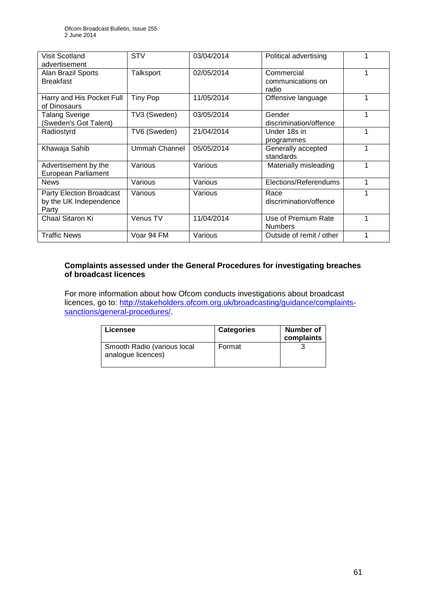| Visit Scotland<br>advertisement                             | <b>STV</b>      | 03/04/2014 | Political advertising                    |   |
|-------------------------------------------------------------|-----------------|------------|------------------------------------------|---|
| Alan Brazil Sports<br><b>Breakfast</b>                      | Talksport       | 02/05/2014 | Commercial<br>communications on<br>radio |   |
| Harry and His Pocket Full<br>of Dinosaurs                   | <b>Tiny Pop</b> | 11/05/2014 | Offensive language                       |   |
| Talang Sverige<br>(Sweden's Got Talent)                     | TV3 (Sweden)    | 03/05/2014 | Gender<br>discrimination/offence         | 1 |
| Radiostyrd                                                  | TV6 (Sweden)    | 21/04/2014 | Under 18s in<br>programmes               |   |
| Khawaja Sahib                                               | Ummah Channel   | 05/05/2014 | Generally accepted<br>standards          | 1 |
| Advertisement by the<br><b>European Parliament</b>          | Various         | Various    | Materially misleading                    | 1 |
| <b>News</b>                                                 | Various         | Various    | Elections/Referendums                    | 1 |
| Party Election Broadcast<br>by the UK Independence<br>Party | Various         | Various    | Race<br>discrimination/offence           |   |
| Chaal Sitaron Ki                                            | Venus TV        | 11/04/2014 | Use of Premium Rate<br><b>Numbers</b>    |   |
| <b>Traffic News</b>                                         | Voar 94 FM      | Various    | Outside of remit / other                 |   |

## **Complaints assessed under the General Procedures for investigating breaches of broadcast licences**

For more information about how Ofcom conducts investigations about broadcast licences, go to: http://stakeholders.ofcom.org.uk/broadcasting/quidance/complaints[sanctions/general-procedures/.](http://stakeholders.ofcom.org.uk/broadcasting/guidance/complaints-sanctions/general-procedures/)

| Licensee                                          | <b>Categories</b> | Number of<br>complaints |
|---------------------------------------------------|-------------------|-------------------------|
| Smooth Radio (various local<br>analogue licences) | Format            |                         |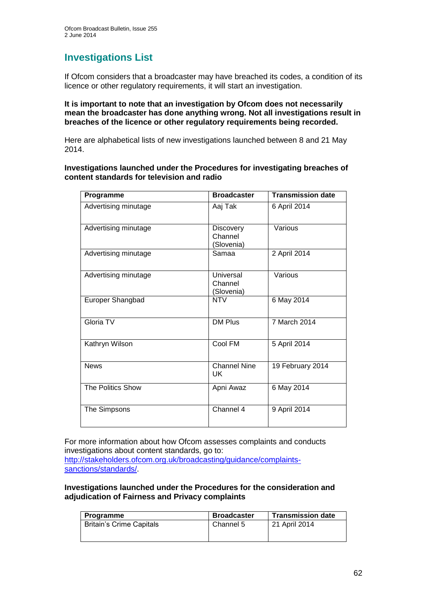# **Investigations List**

If Ofcom considers that a broadcaster may have breached its codes, a condition of its licence or other regulatory requirements, it will start an investigation.

**It is important to note that an investigation by Ofcom does not necessarily mean the broadcaster has done anything wrong. Not all investigations result in breaches of the licence or other regulatory requirements being recorded.**

Here are alphabetical lists of new investigations launched between 8 and 21 May 2014.

**Investigations launched under the Procedures for investigating breaches of content standards for television and radio**

| Programme            | <b>Broadcaster</b>                        | <b>Transmission date</b> |
|----------------------|-------------------------------------------|--------------------------|
| Advertising minutage | Aaj Tak                                   | 6 April 2014             |
| Advertising minutage | <b>Discovery</b><br>Channel<br>(Slovenia) | Various                  |
| Advertising minutage | Samaa                                     | 2 April 2014             |
| Advertising minutage | Universal<br>Channel<br>(Slovenia)        | Various                  |
| Europer Shangbad     | <b>NTV</b>                                | 6 May 2014               |
| Gloria TV            | <b>DM Plus</b>                            | 7 March 2014             |
| Kathryn Wilson       | Cool FM                                   | 5 April 2014             |
| <b>News</b>          | <b>Channel Nine</b><br>UK                 | 19 February 2014         |
| The Politics Show    | Apni Awaz                                 | 6 May 2014               |
| The Simpsons         | Channel 4                                 | 9 April 2014             |

For more information about how Ofcom assesses complaints and conducts investigations about content standards, go to: [http://stakeholders.ofcom.org.uk/broadcasting/guidance/complaints](http://stakeholders.ofcom.org.uk/broadcasting/guidance/complaints-sanctions/standards/)[sanctions/standards/.](http://stakeholders.ofcom.org.uk/broadcasting/guidance/complaints-sanctions/standards/)

**Investigations launched under the Procedures for the consideration and adjudication of Fairness and Privacy complaints**

| <b>Programme</b>                | <b>Broadcaster</b> | <b>Transmission date</b> |
|---------------------------------|--------------------|--------------------------|
| <b>Britain's Crime Capitals</b> | Channel 5          | 21 April 2014            |
|                                 |                    |                          |